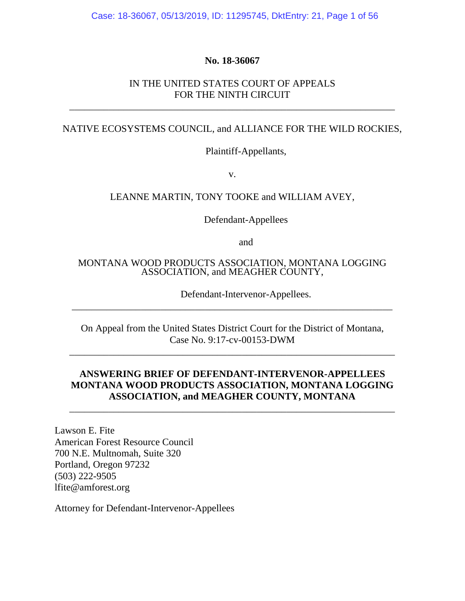Case: 18-36067, 05/13/2019, ID: 11295745, DktEntry: 21, Page 1 of 56

### **No. 18-36067**

### IN THE UNITED STATES COURT OF APPEALS FOR THE NINTH CIRCUIT

\_\_\_\_\_\_\_\_\_\_\_\_\_\_\_\_\_\_\_\_\_\_\_\_\_\_\_\_\_\_\_\_\_\_\_\_\_\_\_\_\_\_\_\_\_\_\_\_\_\_\_\_\_\_\_\_\_\_\_\_\_\_\_\_\_\_

#### NATIVE ECOSYSTEMS COUNCIL, and ALLIANCE FOR THE WILD ROCKIES,

Plaintiff-Appellants,

v.

### LEANNE MARTIN, TONY TOOKE and WILLIAM AVEY,

Defendant-Appellees

and

#### MONTANA WOOD PRODUCTS ASSOCIATION, MONTANA LOGGING ASSOCIATION, and MEAGHER COUNTY,

Defendant-Intervenor-Appellees.

On Appeal from the United States District Court for the District of Montana, Case No. 9:17-cv-00153-DWM

\_\_\_\_\_\_\_\_\_\_\_\_\_\_\_\_\_\_\_\_\_\_\_\_\_\_\_\_\_\_\_\_\_\_\_\_\_\_\_\_\_\_\_\_\_\_\_\_\_\_\_\_\_\_\_\_\_\_\_\_\_\_\_\_\_\_

\_\_\_\_\_\_\_\_\_\_\_\_\_\_\_\_\_\_\_\_\_\_\_\_\_\_\_\_\_\_\_\_\_\_\_\_\_\_\_\_\_\_\_\_\_\_\_\_\_\_\_\_\_\_\_\_\_\_\_\_\_\_\_\_\_

### **ANSWERING BRIEF OF DEFENDANT-INTERVENOR-APPELLEES MONTANA WOOD PRODUCTS ASSOCIATION, MONTANA LOGGING ASSOCIATION, and MEAGHER COUNTY, MONTANA**

\_\_\_\_\_\_\_\_\_\_\_\_\_\_\_\_\_\_\_\_\_\_\_\_\_\_\_\_\_\_\_\_\_\_\_\_\_\_\_\_\_\_\_\_\_\_\_\_\_\_\_\_\_\_\_\_\_\_\_\_\_\_\_\_\_\_

Lawson E. Fite American Forest Resource Council 700 N.E. Multnomah, Suite 320 Portland, Oregon 97232 (503) 222-9505 lfite@amforest.org

Attorney for Defendant-Intervenor-Appellees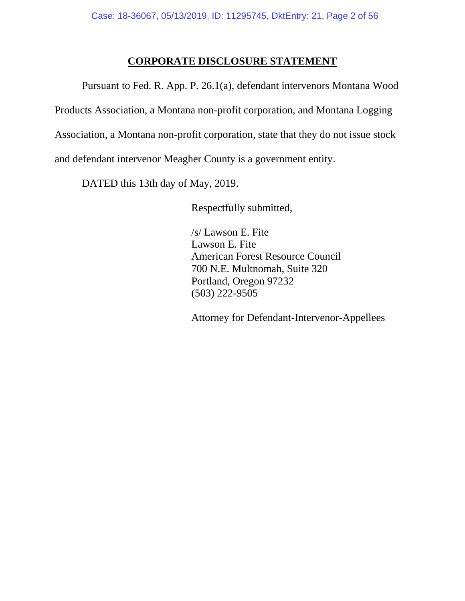## **CORPORATE DISCLOSURE STATEMENT**

Pursuant to Fed. R. App. P. 26.1(a), defendant intervenors Montana Wood Products Association, a Montana non-profit corporation, and Montana Logging Association, a Montana non-profit corporation, state that they do not issue stock and defendant intervenor Meagher County is a government entity.

DATED this 13th day of May, 2019.

Respectfully submitted,

/s/ Lawson E. Fite Lawson E. Fite American Forest Resource Council 700 N.E. Multnomah, Suite 320 Portland, Oregon 97232 (503) 222-9505

Attorney for Defendant-Intervenor-Appellees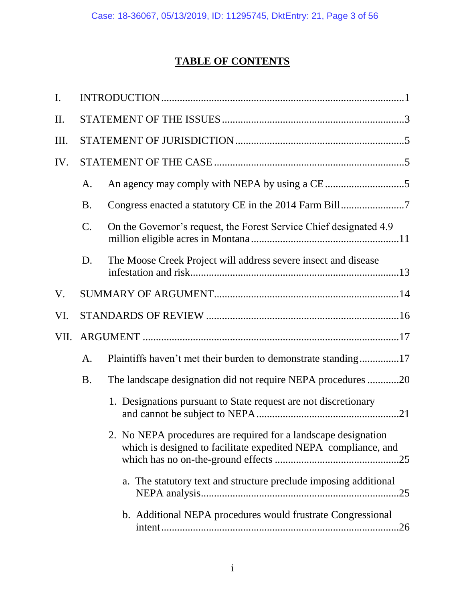# **TABLE OF CONTENTS**

| $\mathbf{I}$ . |                 |                                                                                                                                  |
|----------------|-----------------|----------------------------------------------------------------------------------------------------------------------------------|
| II.            |                 |                                                                                                                                  |
| Ш.             |                 |                                                                                                                                  |
| IV.            |                 |                                                                                                                                  |
|                | A.              |                                                                                                                                  |
|                | <b>B.</b>       |                                                                                                                                  |
|                | $\mathcal{C}$ . | On the Governor's request, the Forest Service Chief designated 4.9                                                               |
|                | D.              | The Moose Creek Project will address severe insect and disease                                                                   |
| V.             |                 |                                                                                                                                  |
| VI.            |                 |                                                                                                                                  |
| VII.           |                 |                                                                                                                                  |
|                | A.              | Plaintiffs haven't met their burden to demonstrate standing17                                                                    |
|                | <b>B.</b>       | The landscape designation did not require NEPA procedures 20                                                                     |
|                |                 | 1. Designations pursuant to State request are not discretionary                                                                  |
|                |                 | 2. No NEPA procedures are required for a landscape designation<br>which is designed to facilitate expedited NEPA compliance, and |
|                |                 | a. The statutory text and structure preclude imposing additional                                                                 |
|                |                 | b. Additional NEPA procedures would frustrate Congressional                                                                      |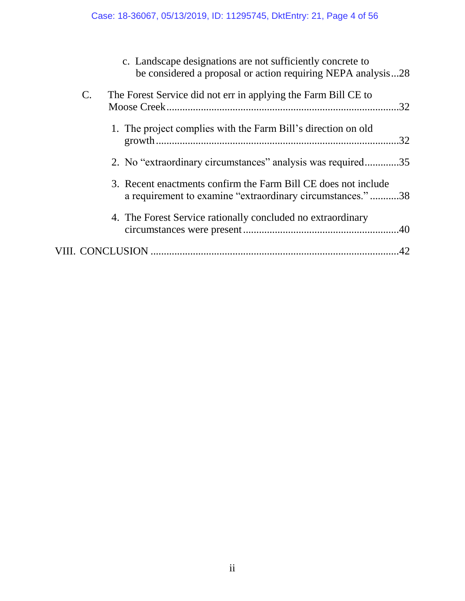|                | c. Landscape designations are not sufficiently concrete to<br>be considered a proposal or action requiring NEPA analysis28  |     |
|----------------|-----------------------------------------------------------------------------------------------------------------------------|-----|
| $\mathbf{C}$ . | The Forest Service did not err in applying the Farm Bill CE to                                                              | .32 |
|                | 1. The project complies with the Farm Bill's direction on old                                                               | .32 |
|                | 2. No "extraordinary circumstances" analysis was required35                                                                 |     |
|                | 3. Recent enactments confirm the Farm Bill CE does not include<br>a requirement to examine "extraordinary circumstances."38 |     |
|                | 4. The Forest Service rationally concluded no extraordinary                                                                 |     |
|                |                                                                                                                             |     |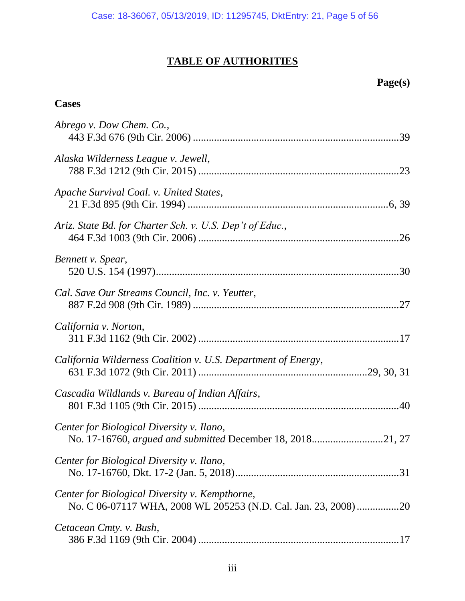# **TABLE OF AUTHORITIES**

# **Page(s)**

# **Cases**

| Abrego v. Dow Chem. Co.,                                                                                          |
|-------------------------------------------------------------------------------------------------------------------|
| Alaska Wilderness League v. Jewell,                                                                               |
| Apache Survival Coal. v. United States,                                                                           |
| Ariz. State Bd. for Charter Sch. v. U.S. Dep't of Educ.,                                                          |
| Bennett v. Spear,                                                                                                 |
| Cal. Save Our Streams Council, Inc. v. Yeutter,                                                                   |
| California v. Norton,                                                                                             |
| California Wilderness Coalition v. U.S. Department of Energy,                                                     |
| Cascadia Wildlands v. Bureau of Indian Affairs,                                                                   |
| Center for Biological Diversity v. Ilano,<br>No. 17-16760, argued and submitted December 18, 201821, 27           |
| Center for Biological Diversity v. Ilano,                                                                         |
| Center for Biological Diversity v. Kempthorne,<br>No. C 06-07117 WHA, 2008 WL 205253 (N.D. Cal. Jan. 23, 2008) 20 |
| Cetacean Cmty. v. Bush,                                                                                           |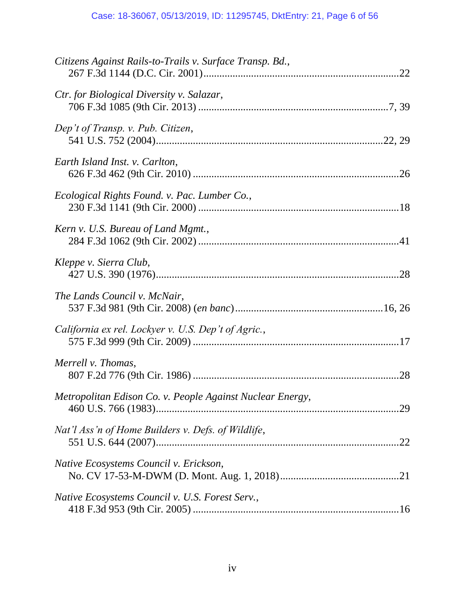| Citizens Against Rails-to-Trails v. Surface Transp. Bd.,  |     |
|-----------------------------------------------------------|-----|
| Ctr. for Biological Diversity v. Salazar,                 |     |
| Dep't of Transp. v. Pub. Citizen,                         |     |
| Earth Island Inst. v. Carlton,                            |     |
| Ecological Rights Found. v. Pac. Lumber Co.,              |     |
| Kern v. U.S. Bureau of Land Mgmt.,                        |     |
| Kleppe v. Sierra Club,                                    |     |
| The Lands Council v. McNair,                              |     |
| California ex rel. Lockyer v. U.S. Dep't of Agric.,       |     |
| Merrell v. Thomas,                                        |     |
| Metropolitan Edison Co. v. People Against Nuclear Energy, |     |
| Nat'l Ass'n of Home Builders v. Defs. of Wildlife,        | .22 |
| Native Ecosystems Council v. Erickson,                    |     |
| Native Ecosystems Council v. U.S. Forest Serv.,           |     |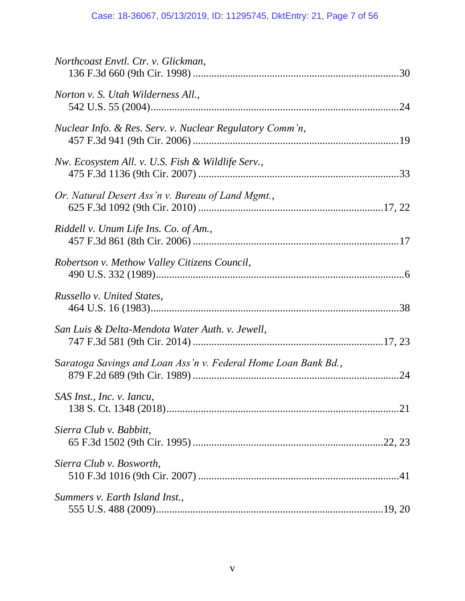| Northcoast Envtl. Ctr. v. Glickman,                            |  |
|----------------------------------------------------------------|--|
| Norton v. S. Utah Wilderness All.,                             |  |
| Nuclear Info. & Res. Serv. v. Nuclear Regulatory Comm'n,       |  |
| Nw. Ecosystem All. v. U.S. Fish & Wildlife Serv.,              |  |
| Or. Natural Desert Ass'n v. Bureau of Land Mgmt.,              |  |
| Riddell v. Unum Life Ins. Co. of Am.,                          |  |
| Robertson v. Methow Valley Citizens Council,                   |  |
| Russello v. United States,                                     |  |
| San Luis & Delta-Mendota Water Auth. v. Jewell,                |  |
| Saratoga Savings and Loan Ass'n v. Federal Home Loan Bank Bd., |  |
| SAS Inst., Inc. v. Iancu,                                      |  |
| Sierra Club v. Babbitt,                                        |  |
| Sierra Club v. Bosworth,                                       |  |
| Summers v. Earth Island Inst.,                                 |  |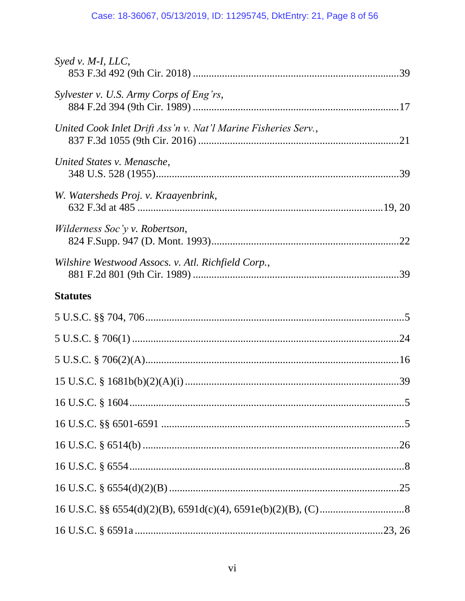## Case: 18-36067, 05/13/2019, ID: 11295745, DktEntry: 21, Page 8 of 56

| Syed v. M-I, LLC,                                              |  |
|----------------------------------------------------------------|--|
| Sylvester v. U.S. Army Corps of Eng'rs,                        |  |
| United Cook Inlet Drift Ass'n v. Nat'l Marine Fisheries Serv., |  |
| United States v. Menasche,                                     |  |
| W. Watersheds Proj. v. Kraayenbrink,                           |  |
| Wilderness Soc'y v. Robertson,                                 |  |
| Wilshire Westwood Assocs. v. Atl. Richfield Corp.,             |  |
| <b>Statutes</b>                                                |  |
|                                                                |  |
|                                                                |  |
|                                                                |  |
|                                                                |  |
|                                                                |  |
|                                                                |  |
|                                                                |  |
|                                                                |  |
|                                                                |  |
|                                                                |  |
|                                                                |  |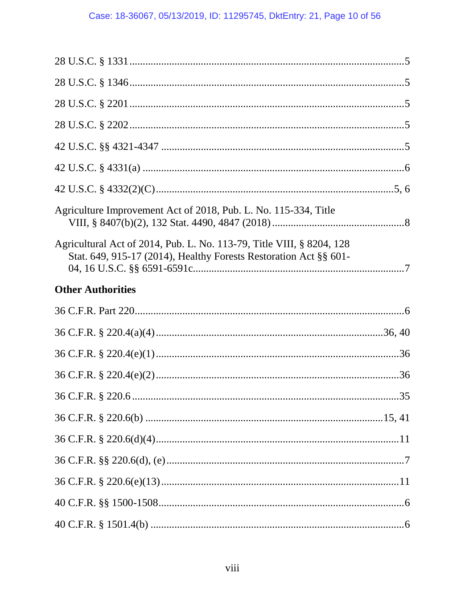| Agriculture Improvement Act of 2018, Pub. L. No. 115-334, Title                                                                            |  |
|--------------------------------------------------------------------------------------------------------------------------------------------|--|
| Agricultural Act of 2014, Pub. L. No. 113-79, Title VIII, § 8204, 128<br>Stat. 649, 915-17 (2014), Healthy Forests Restoration Act §§ 601- |  |
| <b>Other Authorities</b>                                                                                                                   |  |
|                                                                                                                                            |  |
|                                                                                                                                            |  |
|                                                                                                                                            |  |
|                                                                                                                                            |  |
|                                                                                                                                            |  |
|                                                                                                                                            |  |
|                                                                                                                                            |  |
|                                                                                                                                            |  |
|                                                                                                                                            |  |
|                                                                                                                                            |  |
|                                                                                                                                            |  |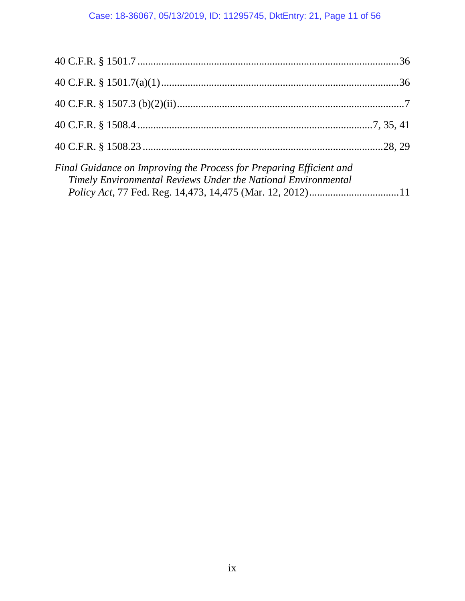| Final Guidance on Improving the Process for Preparing Efficient and<br>Timely Environmental Reviews Under the National Environmental |  |
|--------------------------------------------------------------------------------------------------------------------------------------|--|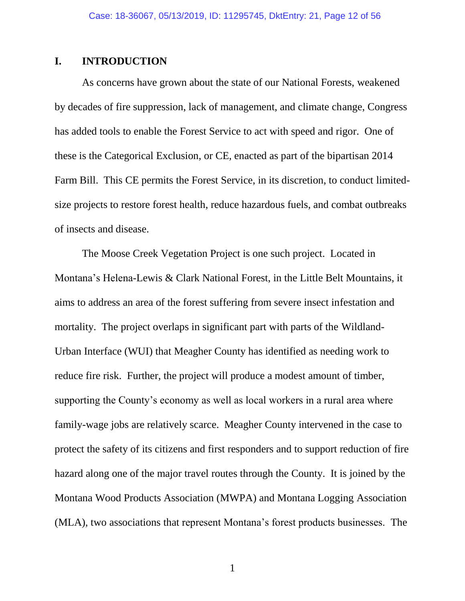### <span id="page-11-0"></span>**I. INTRODUCTION**

As concerns have grown about the state of our National Forests, weakened by decades of fire suppression, lack of management, and climate change, Congress has added tools to enable the Forest Service to act with speed and rigor. One of these is the Categorical Exclusion, or CE, enacted as part of the bipartisan 2014 Farm Bill. This CE permits the Forest Service, in its discretion, to conduct limitedsize projects to restore forest health, reduce hazardous fuels, and combat outbreaks of insects and disease.

The Moose Creek Vegetation Project is one such project. Located in Montana's Helena-Lewis & Clark National Forest, in the Little Belt Mountains, it aims to address an area of the forest suffering from severe insect infestation and mortality. The project overlaps in significant part with parts of the Wildland-Urban Interface (WUI) that Meagher County has identified as needing work to reduce fire risk. Further, the project will produce a modest amount of timber, supporting the County's economy as well as local workers in a rural area where family-wage jobs are relatively scarce. Meagher County intervened in the case to protect the safety of its citizens and first responders and to support reduction of fire hazard along one of the major travel routes through the County. It is joined by the Montana Wood Products Association (MWPA) and Montana Logging Association (MLA), two associations that represent Montana's forest products businesses. The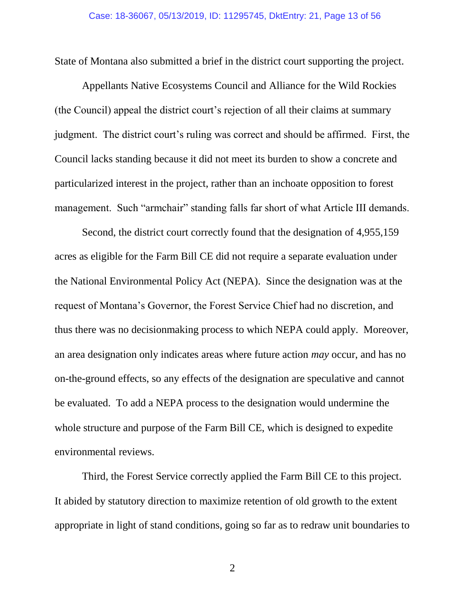State of Montana also submitted a brief in the district court supporting the project.

Appellants Native Ecosystems Council and Alliance for the Wild Rockies (the Council) appeal the district court's rejection of all their claims at summary judgment. The district court's ruling was correct and should be affirmed. First, the Council lacks standing because it did not meet its burden to show a concrete and particularized interest in the project, rather than an inchoate opposition to forest management. Such "armchair" standing falls far short of what Article III demands.

Second, the district court correctly found that the designation of 4,955,159 acres as eligible for the Farm Bill CE did not require a separate evaluation under the National Environmental Policy Act (NEPA). Since the designation was at the request of Montana's Governor, the Forest Service Chief had no discretion, and thus there was no decisionmaking process to which NEPA could apply. Moreover, an area designation only indicates areas where future action *may* occur, and has no on-the-ground effects, so any effects of the designation are speculative and cannot be evaluated. To add a NEPA process to the designation would undermine the whole structure and purpose of the Farm Bill CE, which is designed to expedite environmental reviews.

Third, the Forest Service correctly applied the Farm Bill CE to this project. It abided by statutory direction to maximize retention of old growth to the extent appropriate in light of stand conditions, going so far as to redraw unit boundaries to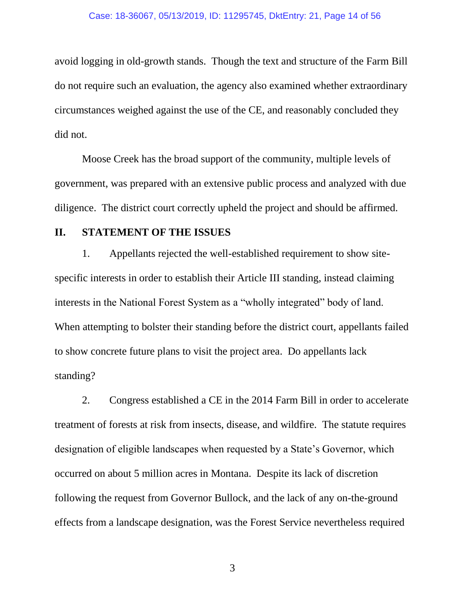#### Case: 18-36067, 05/13/2019, ID: 11295745, DktEntry: 21, Page 14 of 56

avoid logging in old-growth stands. Though the text and structure of the Farm Bill do not require such an evaluation, the agency also examined whether extraordinary circumstances weighed against the use of the CE, and reasonably concluded they did not.

Moose Creek has the broad support of the community, multiple levels of government, was prepared with an extensive public process and analyzed with due diligence. The district court correctly upheld the project and should be affirmed.

### <span id="page-13-0"></span>**II. STATEMENT OF THE ISSUES**

1. Appellants rejected the well-established requirement to show sitespecific interests in order to establish their Article III standing, instead claiming interests in the National Forest System as a "wholly integrated" body of land. When attempting to bolster their standing before the district court, appellants failed to show concrete future plans to visit the project area. Do appellants lack standing?

2. Congress established a CE in the 2014 Farm Bill in order to accelerate treatment of forests at risk from insects, disease, and wildfire. The statute requires designation of eligible landscapes when requested by a State's Governor, which occurred on about 5 million acres in Montana. Despite its lack of discretion following the request from Governor Bullock, and the lack of any on-the-ground effects from a landscape designation, was the Forest Service nevertheless required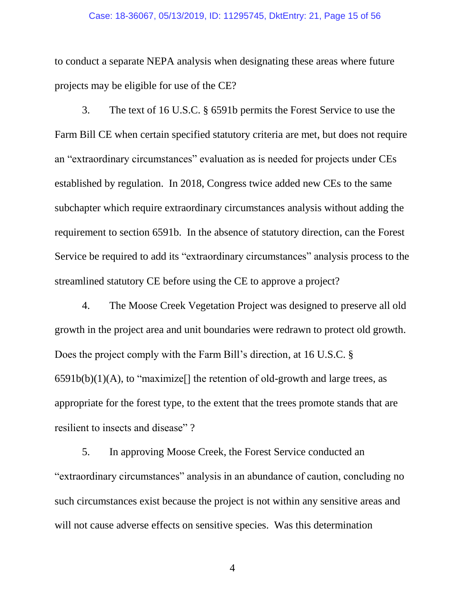#### Case: 18-36067, 05/13/2019, ID: 11295745, DktEntry: 21, Page 15 of 56

to conduct a separate NEPA analysis when designating these areas where future projects may be eligible for use of the CE?

<span id="page-14-0"></span>3. The text of 16 U.S.C. § 6591b permits the Forest Service to use the Farm Bill CE when certain specified statutory criteria are met, but does not require an "extraordinary circumstances" evaluation as is needed for projects under CEs established by regulation. In 2018, Congress twice added new CEs to the same subchapter which require extraordinary circumstances analysis without adding the requirement to section 6591b. In the absence of statutory direction, can the Forest Service be required to add its "extraordinary circumstances" analysis process to the streamlined statutory CE before using the CE to approve a project?

<span id="page-14-1"></span>4. The Moose Creek Vegetation Project was designed to preserve all old growth in the project area and unit boundaries were redrawn to protect old growth. Does the project comply with the Farm Bill's direction, at 16 U.S.C. §  $6591b(b)(1)(A)$ , to "maximize<sup>[]</sup> the retention of old-growth and large trees, as appropriate for the forest type, to the extent that the trees promote stands that are resilient to insects and disease" ?

5. In approving Moose Creek, the Forest Service conducted an "extraordinary circumstances" analysis in an abundance of caution, concluding no such circumstances exist because the project is not within any sensitive areas and will not cause adverse effects on sensitive species. Was this determination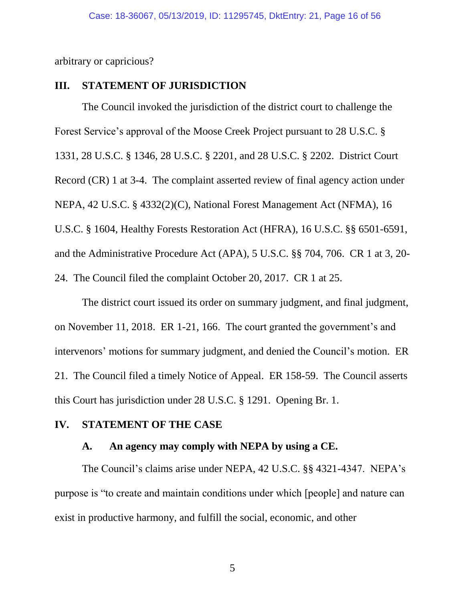arbitrary or capricious?

### <span id="page-15-0"></span>**III. STATEMENT OF JURISDICTION**

<span id="page-15-12"></span><span id="page-15-10"></span><span id="page-15-9"></span><span id="page-15-8"></span><span id="page-15-7"></span><span id="page-15-4"></span>The Council invoked the jurisdiction of the district court to challenge the Forest Service's approval of the Moose Creek Project pursuant to 28 U.S.C. § 1331, 28 U.S.C. § 1346, 28 U.S.C. § 2201, and 28 U.S.C. § 2202. District Court Record (CR) 1 at 3-4. The complaint asserted review of final agency action under NEPA, 42 U.S.C. § 4332(2)(C), National Forest Management Act (NFMA), 16 U.S.C. § 1604, Healthy Forests Restoration Act (HFRA), 16 U.S.C. §§ 6501-6591, and the Administrative Procedure Act (APA), 5 U.S.C. §§ 704, 706. CR 1 at 3, 20- 24. The Council filed the complaint October 20, 2017. CR 1 at 25.

<span id="page-15-5"></span><span id="page-15-3"></span>The district court issued its order on summary judgment, and final judgment, on November 11, 2018. ER 1-21, 166. The court granted the government's and intervenors' motions for summary judgment, and denied the Council's motion. ER 21. The Council filed a timely Notice of Appeal. ER 158-59. The Council asserts this Court has jurisdiction under 28 U.S.C. § 1291. Opening Br. 1.

### <span id="page-15-2"></span><span id="page-15-1"></span>**IV. STATEMENT OF THE CASE**

### <span id="page-15-11"></span><span id="page-15-6"></span>**A. An agency may comply with NEPA by using a CE.**

The Council's claims arise under NEPA, 42 U.S.C. §§ 4321-4347. NEPA's purpose is "to create and maintain conditions under which [people] and nature can exist in productive harmony, and fulfill the social, economic, and other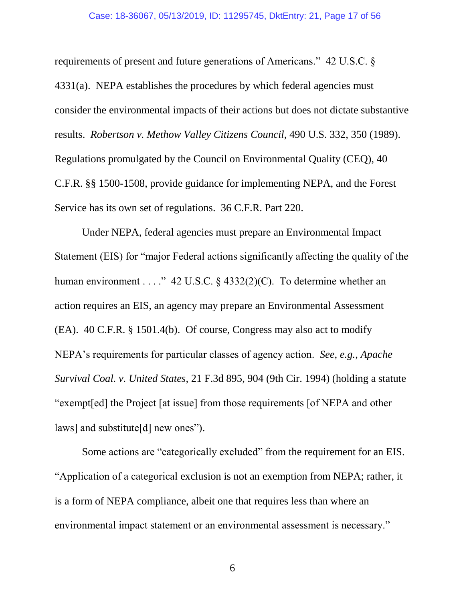#### <span id="page-16-5"></span><span id="page-16-2"></span>Case: 18-36067, 05/13/2019, ID: 11295745, DktEntry: 21, Page 17 of 56

<span id="page-16-1"></span>requirements of present and future generations of Americans." 42 U.S.C. § 4331(a). NEPA establishes the procedures by which federal agencies must consider the environmental impacts of their actions but does not dictate substantive results. *Robertson v. Methow Valley Citizens Council*, 490 U.S. 332, 350 (1989). Regulations promulgated by the Council on Environmental Quality (CEQ), 40 C.F.R. §§ 1500-1508, provide guidance for implementing NEPA, and the Forest Service has its own set of regulations. 36 C.F.R. Part 220.

<span id="page-16-6"></span><span id="page-16-4"></span><span id="page-16-3"></span>Under NEPA, federal agencies must prepare an Environmental Impact Statement (EIS) for "major Federal actions significantly affecting the quality of the human environment . . . ." 42 U.S.C.  $\S$  4332(2)(C). To determine whether an action requires an EIS, an agency may prepare an Environmental Assessment (EA). 40 C.F.R. § 1501.4(b). Of course, Congress may also act to modify NEPA's requirements for particular classes of agency action. *See*, *e.g.*, *Apache Survival Coal. v. United States*, 21 F.3d 895, 904 (9th Cir. 1994) (holding a statute "exempt[ed] the Project [at issue] from those requirements [of NEPA and other laws] and substitute[d] new ones").

<span id="page-16-0"></span>Some actions are "categorically excluded" from the requirement for an EIS. "Application of a categorical exclusion is not an exemption from NEPA; rather, it is a form of NEPA compliance, albeit one that requires less than where an environmental impact statement or an environmental assessment is necessary."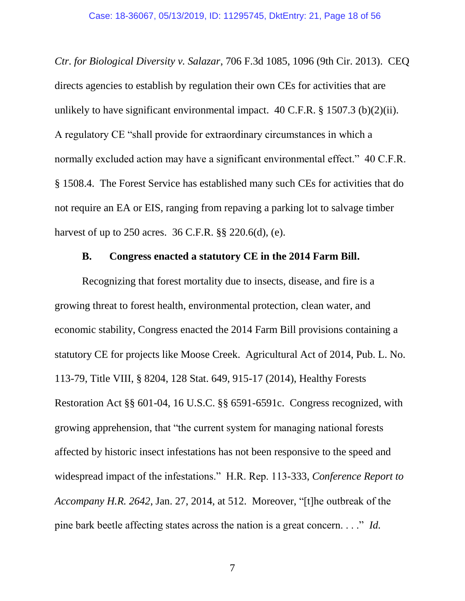<span id="page-17-4"></span><span id="page-17-1"></span>*Ctr. for Biological Diversity v. Salazar*, 706 F.3d 1085, 1096 (9th Cir. 2013). CEQ directs agencies to establish by regulation their own CEs for activities that are unlikely to have significant environmental impact.  $40$  C.F.R. § 1507.3 (b)(2)(ii). A regulatory CE "shall provide for extraordinary circumstances in which a normally excluded action may have a significant environmental effect." 40 C.F.R. § 1508.4. The Forest Service has established many such CEs for activities that do not require an EA or EIS, ranging from repaving a parking lot to salvage timber harvest of up to 250 acres. 36 C.F.R. §§ 220.6(d), (e).

### <span id="page-17-5"></span><span id="page-17-3"></span><span id="page-17-2"></span>**B. Congress enacted a statutory CE in the 2014 Farm Bill.**

<span id="page-17-0"></span>Recognizing that forest mortality due to insects, disease, and fire is a growing threat to forest health, environmental protection, clean water, and economic stability, Congress enacted the 2014 Farm Bill provisions containing a statutory CE for projects like Moose Creek. Agricultural Act of 2014, Pub. L. No. 113-79, Title VIII, § 8204, 128 Stat. 649, 915-17 (2014), Healthy Forests Restoration Act §§ 601-04, 16 U.S.C. §§ 6591-6591c. Congress recognized, with growing apprehension, that "the current system for managing national forests affected by historic insect infestations has not been responsive to the speed and widespread impact of the infestations." H.R. Rep. 113-333, *Conference Report to Accompany H.R. 2642*, Jan. 27, 2014, at 512. Moreover, "[t]he outbreak of the pine bark beetle affecting states across the nation is a great concern. . . ." *Id.*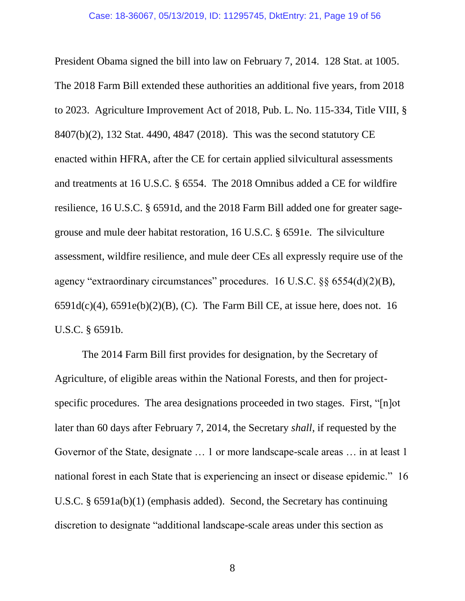<span id="page-18-5"></span><span id="page-18-3"></span><span id="page-18-0"></span>President Obama signed the bill into law on February 7, 2014. 128 Stat. at 1005. The 2018 Farm Bill extended these authorities an additional five years, from 2018 to 2023. Agriculture Improvement Act of 2018, Pub. L. No. 115-334, Title VIII, § 8407(b)(2), 132 Stat. 4490, 4847 (2018). This was the second statutory CE enacted within HFRA, after the CE for certain applied silvicultural assessments and treatments at 16 U.S.C. § 6554. The 2018 Omnibus added a CE for wildfire resilience, 16 U.S.C. § 6591d, and the 2018 Farm Bill added one for greater sagegrouse and mule deer habitat restoration, 16 U.S.C. § 6591e. The silviculture assessment, wildfire resilience, and mule deer CEs all expressly require use of the agency "extraordinary circumstances" procedures. 16 U.S.C. §§ 6554(d)(2)(B),  $6591d(c)(4)$ ,  $6591e(b)(2)(B)$ , (C). The Farm Bill CE, at issue here, does not. 16 U.S.C. § 6591b.

<span id="page-18-4"></span><span id="page-18-2"></span><span id="page-18-1"></span>The 2014 Farm Bill first provides for designation, by the Secretary of Agriculture, of eligible areas within the National Forests, and then for projectspecific procedures. The area designations proceeded in two stages. First, "[n]ot later than 60 days after February 7, 2014, the Secretary *shall*, if requested by the Governor of the State, designate … 1 or more landscape-scale areas … in at least 1 national forest in each State that is experiencing an insect or disease epidemic." 16 U.S.C. § 6591a(b)(1) (emphasis added). Second, the Secretary has continuing discretion to designate "additional landscape-scale areas under this section as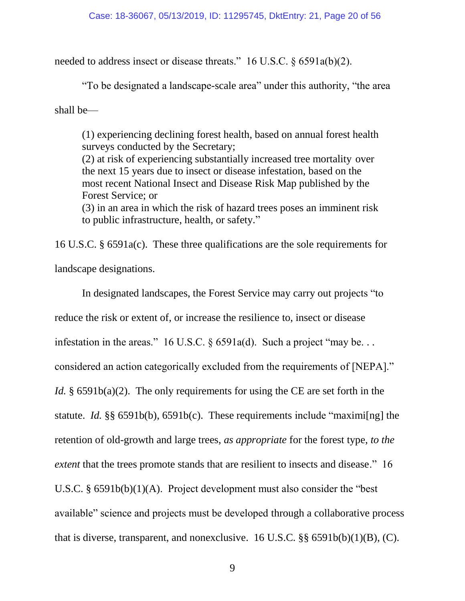needed to address insect or disease threats." 16 U.S.C. § 6591a(b)(2).

<span id="page-19-0"></span>"To be designated a landscape-scale area" under this authority, "the area

shall be—

(1) experiencing declining forest health, based on annual forest health surveys conducted by the Secretary; (2) at risk of experiencing substantially increased tree mortality over the next 15 years due to insect or disease infestation, based on the most recent National Insect and Disease Risk Map published by the Forest Service; or

(3) in an area in which the risk of hazard trees poses an imminent risk to public infrastructure, health, or safety."

<span id="page-19-1"></span>16 U.S.C. § 6591a(c). These three qualifications are the sole requirements for landscape designations.

<span id="page-19-4"></span><span id="page-19-3"></span><span id="page-19-2"></span>In designated landscapes, the Forest Service may carry out projects "to reduce the risk or extent of, or increase the resilience to, insect or disease infestation in the areas." 16 U.S.C. § 6591a(d). Such a project "may be... considered an action categorically excluded from the requirements of [NEPA]." *Id.* § 6591b(a)(2). The only requirements for using the CE are set forth in the statute. *Id.* §§ 6591b(b), 6591b(c). These requirements include "maximi[ng] the retention of old-growth and large trees, *as appropriate* for the forest type, *to the extent* that the trees promote stands that are resilient to insects and disease." 16 U.S.C. § 6591b(b)(1)(A). Project development must also consider the "best available" science and projects must be developed through a collaborative process that is diverse, transparent, and nonexclusive. 16 U.S.C.  $\S § 6591b(b)(1)(B)$ , (C).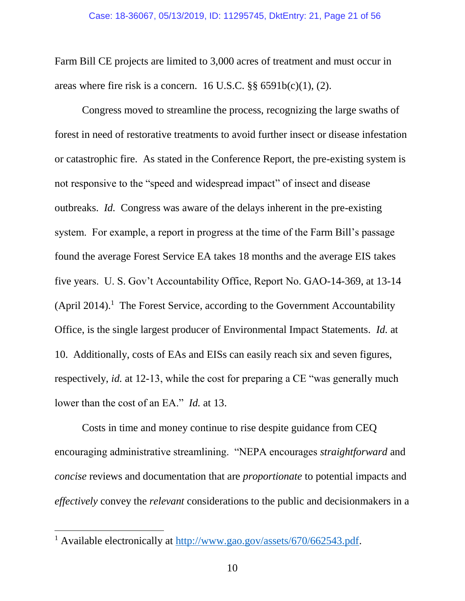<span id="page-20-0"></span>Farm Bill CE projects are limited to 3,000 acres of treatment and must occur in areas where fire risk is a concern. 16 U.S.C. §§ 6591b(c)(1), (2).

Congress moved to streamline the process, recognizing the large swaths of forest in need of restorative treatments to avoid further insect or disease infestation or catastrophic fire. As stated in the Conference Report, the pre-existing system is not responsive to the "speed and widespread impact" of insect and disease outbreaks. *Id.* Congress was aware of the delays inherent in the pre-existing system. For example, a report in progress at the time of the Farm Bill's passage found the average Forest Service EA takes 18 months and the average EIS takes five years. U. S. Gov't Accountability Office, Report No. GAO-14-369, at 13-14  $(Apri 2014).$ <sup>1</sup> The Forest Service, according to the Government Accountability Office, is the single largest producer of Environmental Impact Statements. *Id.* at 10. Additionally, costs of EAs and EISs can easily reach six and seven figures, respectively, *id.* at 12-13, while the cost for preparing a CE "was generally much lower than the cost of an EA." *Id.* at 13.

Costs in time and money continue to rise despite guidance from CEQ encouraging administrative streamlining. "NEPA encourages *straightforward* and *concise* reviews and documentation that are *proportionate* to potential impacts and *effectively* convey the *relevant* considerations to the public and decisionmakers in a

 $\overline{a}$ 

<sup>&</sup>lt;sup>1</sup> Available electronically at [http://www.gao.gov/assets/670/662543.pdf.](www.gao.gov/assets/670/662543.pdf)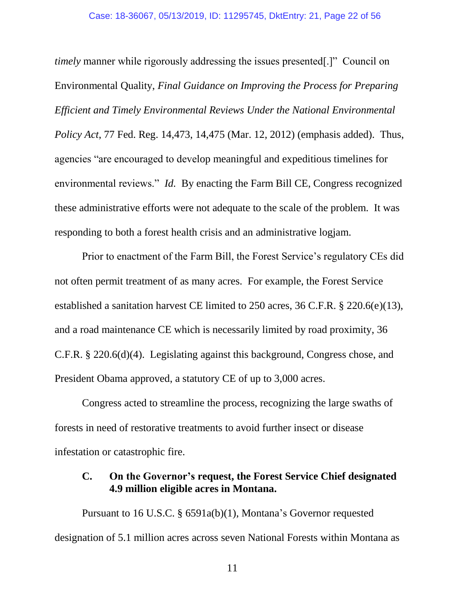<span id="page-21-3"></span>*timely* manner while rigorously addressing the issues presented.]" Council on Environmental Quality, *Final Guidance on Improving the Process for Preparing Efficient and Timely Environmental Reviews Under the National Environmental Policy Act*, 77 Fed. Reg. 14,473, 14,475 (Mar. 12, 2012) (emphasis added). Thus, agencies "are encouraged to develop meaningful and expeditious timelines for environmental reviews." *Id.* By enacting the Farm Bill CE, Congress recognized these administrative efforts were not adequate to the scale of the problem. It was responding to both a forest health crisis and an administrative logjam.

<span id="page-21-2"></span><span id="page-21-1"></span>Prior to enactment of the Farm Bill, the Forest Service's regulatory CEs did not often permit treatment of as many acres. For example, the Forest Service established a sanitation harvest CE limited to 250 acres, 36 C.F.R. § 220.6(e)(13), and a road maintenance CE which is necessarily limited by road proximity, 36 C.F.R. § 220.6(d)(4). Legislating against this background, Congress chose, and President Obama approved, a statutory CE of up to 3,000 acres.

Congress acted to streamline the process, recognizing the large swaths of forests in need of restorative treatments to avoid further insect or disease infestation or catastrophic fire.

### <span id="page-21-0"></span>**C. On the Governor's request, the Forest Service Chief designated 4.9 million eligible acres in Montana.**

Pursuant to 16 U.S.C. § 6591a(b)(1), Montana's Governor requested designation of 5.1 million acres across seven National Forests within Montana as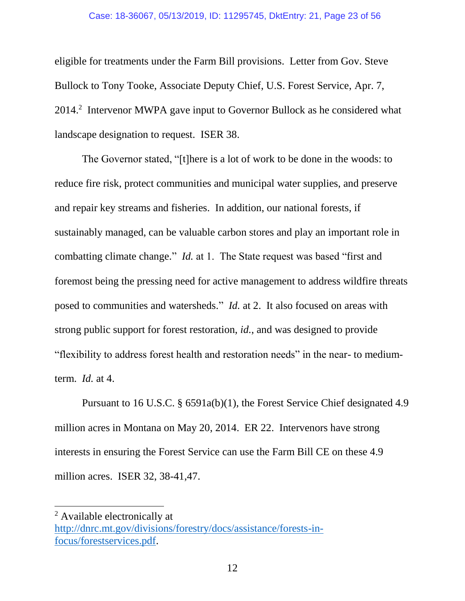#### Case: 18-36067, 05/13/2019, ID: 11295745, DktEntry: 21, Page 23 of 56

eligible for treatments under the Farm Bill provisions. Letter from Gov. Steve Bullock to Tony Tooke, Associate Deputy Chief, U.S. Forest Service, Apr. 7, 2014.<sup>2</sup> Intervenor MWPA gave input to Governor Bullock as he considered what landscape designation to request. ISER 38.

The Governor stated, "[t]here is a lot of work to be done in the woods: to reduce fire risk, protect communities and municipal water supplies, and preserve and repair key streams and fisheries. In addition, our national forests, if sustainably managed, can be valuable carbon stores and play an important role in combatting climate change." *Id.* at 1. The State request was based "first and foremost being the pressing need for active management to address wildfire threats posed to communities and watersheds." *Id.* at 2. It also focused on areas with strong public support for forest restoration, *id.*, and was designed to provide "flexibility to address forest health and restoration needs" in the near- to mediumterm. *Id.* at 4.

Pursuant to 16 U.S.C. § 6591a(b)(1), the Forest Service Chief designated 4.9 million acres in Montana on May 20, 2014. ER 22. Intervenors have strong interests in ensuring the Forest Service can use the Farm Bill CE on these 4.9 million acres. ISER 32, 38-41,47.

 $\overline{a}$ 

<sup>2</sup> Available electronically at [http://dnrc.mt.gov/divisions/forestry/docs/assistance/forests-in](dnrc.mt.gov/divisions/forestry/docs/assistance/forests-in-focus/forestservices.pdf)[focus/forestservices.pdf.](dnrc.mt.gov/divisions/forestry/docs/assistance/forests-in-focus/forestservices.pdf)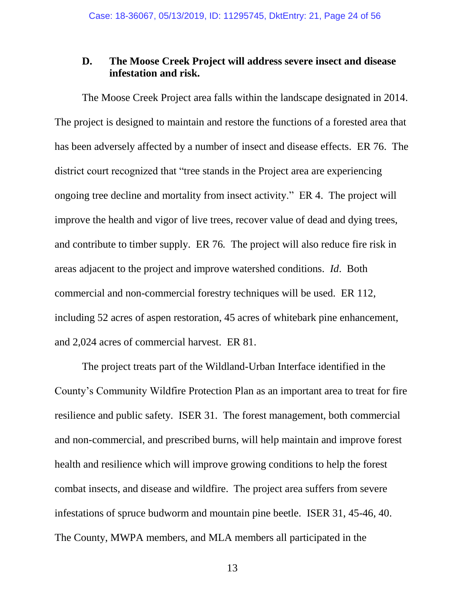### <span id="page-23-0"></span>**D. The Moose Creek Project will address severe insect and disease infestation and risk.**

The Moose Creek Project area falls within the landscape designated in 2014. The project is designed to maintain and restore the functions of a forested area that has been adversely affected by a number of insect and disease effects. ER 76. The district court recognized that "tree stands in the Project area are experiencing ongoing tree decline and mortality from insect activity." ER 4. The project will improve the health and vigor of live trees, recover value of dead and dying trees, and contribute to timber supply. ER 76*.* The project will also reduce fire risk in areas adjacent to the project and improve watershed conditions. *Id*. Both commercial and non-commercial forestry techniques will be used. ER 112, including 52 acres of aspen restoration, 45 acres of whitebark pine enhancement, and 2,024 acres of commercial harvest. ER 81.

The project treats part of the Wildland-Urban Interface identified in the County's Community Wildfire Protection Plan as an important area to treat for fire resilience and public safety. ISER 31. The forest management, both commercial and non-commercial, and prescribed burns, will help maintain and improve forest health and resilience which will improve growing conditions to help the forest combat insects, and disease and wildfire. The project area suffers from severe infestations of spruce budworm and mountain pine beetle. ISER 31, 45-46, 40. The County, MWPA members, and MLA members all participated in the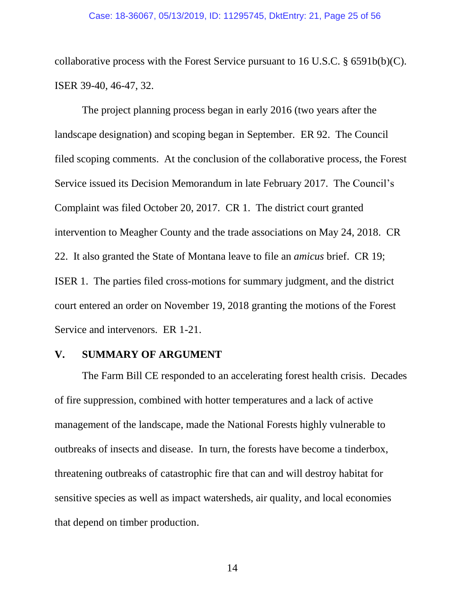<span id="page-24-1"></span>collaborative process with the Forest Service pursuant to 16 U.S.C. § 6591b(b)(C). ISER 39-40, 46-47, 32.

The project planning process began in early 2016 (two years after the landscape designation) and scoping began in September. ER 92. The Council filed scoping comments. At the conclusion of the collaborative process, the Forest Service issued its Decision Memorandum in late February 2017. The Council's Complaint was filed October 20, 2017. CR 1. The district court granted intervention to Meagher County and the trade associations on May 24, 2018. CR 22. It also granted the State of Montana leave to file an *amicus* brief. CR 19; ISER 1. The parties filed cross-motions for summary judgment, and the district court entered an order on November 19, 2018 granting the motions of the Forest Service and intervenors. ER 1-21.

#### <span id="page-24-0"></span>**V. SUMMARY OF ARGUMENT**

The Farm Bill CE responded to an accelerating forest health crisis. Decades of fire suppression, combined with hotter temperatures and a lack of active management of the landscape, made the National Forests highly vulnerable to outbreaks of insects and disease. In turn, the forests have become a tinderbox, threatening outbreaks of catastrophic fire that can and will destroy habitat for sensitive species as well as impact watersheds, air quality, and local economies that depend on timber production.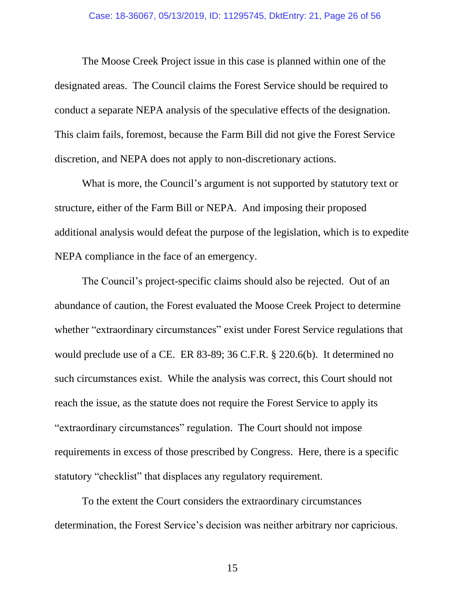The Moose Creek Project issue in this case is planned within one of the designated areas. The Council claims the Forest Service should be required to conduct a separate NEPA analysis of the speculative effects of the designation. This claim fails, foremost, because the Farm Bill did not give the Forest Service discretion, and NEPA does not apply to non-discretionary actions.

What is more, the Council's argument is not supported by statutory text or structure, either of the Farm Bill or NEPA. And imposing their proposed additional analysis would defeat the purpose of the legislation, which is to expedite NEPA compliance in the face of an emergency.

<span id="page-25-0"></span>The Council's project-specific claims should also be rejected. Out of an abundance of caution, the Forest evaluated the Moose Creek Project to determine whether "extraordinary circumstances" exist under Forest Service regulations that would preclude use of a CE. ER 83-89; 36 C.F.R. § 220.6(b). It determined no such circumstances exist. While the analysis was correct, this Court should not reach the issue, as the statute does not require the Forest Service to apply its "extraordinary circumstances" regulation. The Court should not impose requirements in excess of those prescribed by Congress. Here, there is a specific statutory "checklist" that displaces any regulatory requirement.

To the extent the Court considers the extraordinary circumstances determination, the Forest Service's decision was neither arbitrary nor capricious.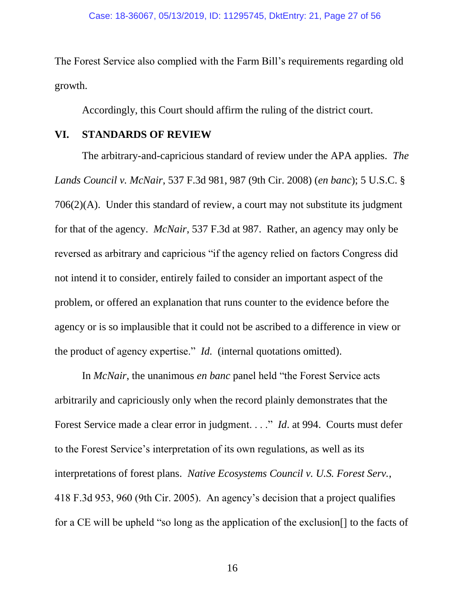The Forest Service also complied with the Farm Bill's requirements regarding old growth.

<span id="page-26-3"></span><span id="page-26-1"></span>Accordingly, this Court should affirm the ruling of the district court.

### <span id="page-26-0"></span>**VI. STANDARDS OF REVIEW**

The arbitrary-and-capricious standard of review under the APA applies. *The Lands Council v. McNair*, 537 F.3d 981, 987 (9th Cir. 2008) (*en banc*); 5 U.S.C. § 706(2)(A). Under this standard of review, a court may not substitute its judgment for that of the agency. *McNair*, 537 F.3d at 987. Rather, an agency may only be reversed as arbitrary and capricious "if the agency relied on factors Congress did not intend it to consider, entirely failed to consider an important aspect of the problem, or offered an explanation that runs counter to the evidence before the agency or is so implausible that it could not be ascribed to a difference in view or the product of agency expertise." *Id.* (internal quotations omitted).

<span id="page-26-2"></span>In *McNair*, the unanimous *en banc* panel held "the Forest Service acts arbitrarily and capriciously only when the record plainly demonstrates that the Forest Service made a clear error in judgment. . . ." *Id*. at 994. Courts must defer to the Forest Service's interpretation of its own regulations, as well as its interpretations of forest plans. *Native Ecosystems Council v. U.S. Forest Serv.*, 418 F.3d 953, 960 (9th Cir. 2005). An agency's decision that a project qualifies for a CE will be upheld "so long as the application of the exclusion[] to the facts of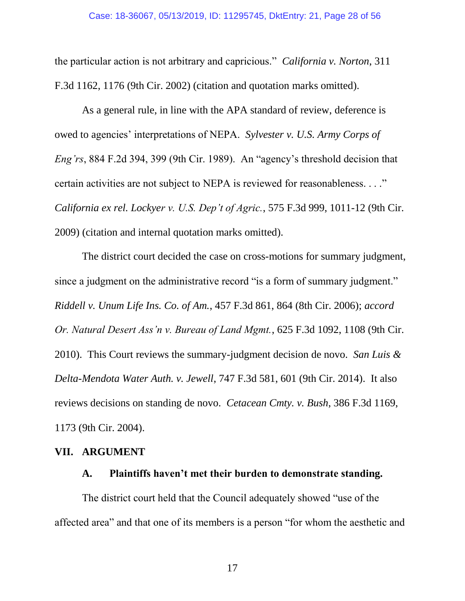<span id="page-27-2"></span>the particular action is not arbitrary and capricious." *California v. Norton*, 311 F.3d 1162, 1176 (9th Cir. 2002) (citation and quotation marks omitted).

<span id="page-27-8"></span>As a general rule, in line with the APA standard of review, deference is owed to agencies' interpretations of NEPA. *Sylvester v. U.S. Army Corps of Eng'rs*, 884 F.2d 394, 399 (9th Cir. 1989). An "agency's threshold decision that certain activities are not subject to NEPA is reviewed for reasonableness. . . ." *California ex rel. Lockyer v. U.S. Dep't of Agric.*, 575 F.3d 999, 1011-12 (9th Cir. 2009) (citation and internal quotation marks omitted).

<span id="page-27-6"></span><span id="page-27-5"></span><span id="page-27-4"></span>The district court decided the case on cross-motions for summary judgment, since a judgment on the administrative record "is a form of summary judgment." *Riddell v. Unum Life Ins. Co. of Am.*, 457 F.3d 861, 864 (8th Cir. 2006); *accord Or. Natural Desert Ass'n v. Bureau of Land Mgmt.*, 625 F.3d 1092, 1108 (9th Cir. 2010). This Court reviews the summary-judgment decision de novo. *San Luis & Delta-Mendota Water Auth. v. Jewell*, 747 F.3d 581, 601 (9th Cir. 2014). It also reviews decisions on standing de novo. *Cetacean Cmty. v. Bush*, 386 F.3d 1169, 1173 (9th Cir. 2004).

### <span id="page-27-0"></span>**VII. ARGUMENT**

### <span id="page-27-7"></span><span id="page-27-3"></span><span id="page-27-1"></span>**A. Plaintiffs haven't met their burden to demonstrate standing.**

The district court held that the Council adequately showed "use of the affected area" and that one of its members is a person "for whom the aesthetic and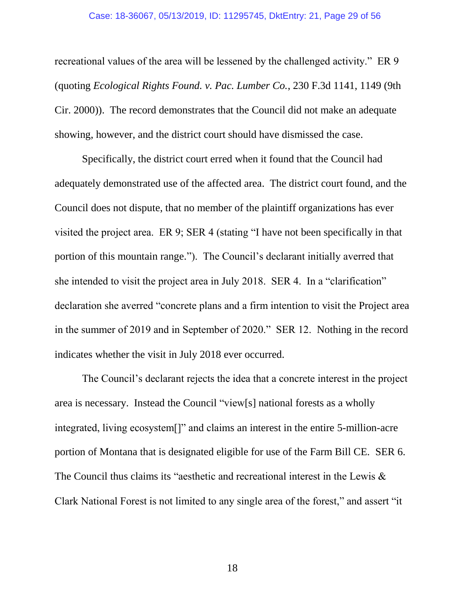#### Case: 18-36067, 05/13/2019, ID: 11295745, DktEntry: 21, Page 29 of 56

<span id="page-28-0"></span>recreational values of the area will be lessened by the challenged activity." ER 9 (quoting *Ecological Rights Found. v. Pac. Lumber Co.*, 230 F.3d 1141, 1149 (9th Cir. 2000)). The record demonstrates that the Council did not make an adequate showing, however, and the district court should have dismissed the case.

Specifically, the district court erred when it found that the Council had adequately demonstrated use of the affected area. The district court found, and the Council does not dispute, that no member of the plaintiff organizations has ever visited the project area. ER 9; SER 4 (stating "I have not been specifically in that portion of this mountain range."). The Council's declarant initially averred that she intended to visit the project area in July 2018. SER 4. In a "clarification" declaration she averred "concrete plans and a firm intention to visit the Project area in the summer of 2019 and in September of 2020." SER 12. Nothing in the record indicates whether the visit in July 2018 ever occurred.

The Council's declarant rejects the idea that a concrete interest in the project area is necessary. Instead the Council "view[s] national forests as a wholly integrated, living ecosystem[]" and claims an interest in the entire 5-million-acre portion of Montana that is designated eligible for use of the Farm Bill CE. SER 6. The Council thus claims its "aesthetic and recreational interest in the Lewis & Clark National Forest is not limited to any single area of the forest," and assert "it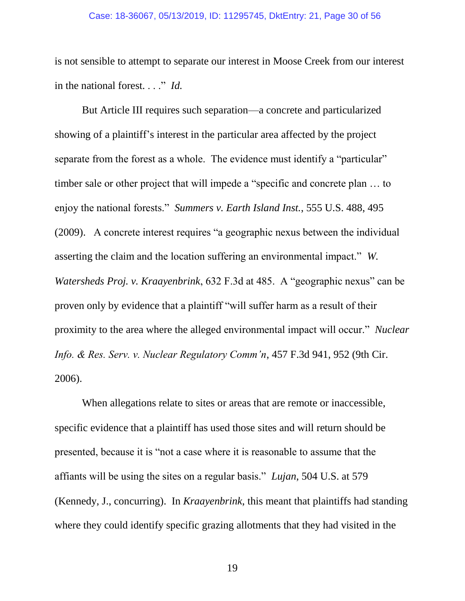#### Case: 18-36067, 05/13/2019, ID: 11295745, DktEntry: 21, Page 30 of 56

is not sensible to attempt to separate our interest in Moose Creek from our interest in the national forest. . . ." *Id.*

<span id="page-29-2"></span><span id="page-29-1"></span>But Article III requires such separation—a concrete and particularized showing of a plaintiff's interest in the particular area affected by the project separate from the forest as a whole. The evidence must identify a "particular" timber sale or other project that will impede a "specific and concrete plan … to enjoy the national forests." *Summers v. Earth Island Inst.*, 555 U.S. 488, 495 (2009). A concrete interest requires "a geographic nexus between the individual asserting the claim and the location suffering an environmental impact." *W. Watersheds Proj. v. Kraayenbrink*, 632 F.3d at 485. A "geographic nexus" can be proven only by evidence that a plaintiff "will suffer harm as a result of their proximity to the area where the alleged environmental impact will occur." *Nuclear Info. & Res. Serv. v. Nuclear Regulatory Comm'n*, 457 F.3d 941, 952 (9th Cir. 2006).

<span id="page-29-0"></span>When allegations relate to sites or areas that are remote or inaccessible, specific evidence that a plaintiff has used those sites and will return should be presented, because it is "not a case where it is reasonable to assume that the affiants will be using the sites on a regular basis." *Lujan*, 504 U.S. at 579 (Kennedy, J., concurring). In *Kraayenbrink*, this meant that plaintiffs had standing where they could identify specific grazing allotments that they had visited in the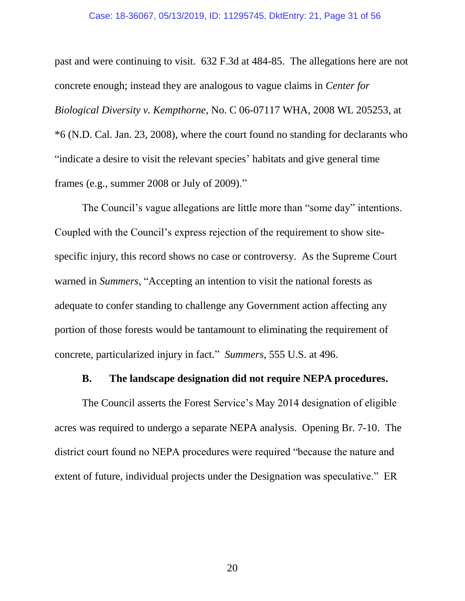#### <span id="page-30-3"></span><span id="page-30-1"></span>Case: 18-36067, 05/13/2019, ID: 11295745, DktEntry: 21, Page 31 of 56

past and were continuing to visit. 632 F.3d at 484-85. The allegations here are not concrete enough; instead they are analogous to vague claims in *Center for Biological Diversity v. Kempthorne*, No. C 06-07117 WHA, 2008 WL 205253, at \*6 (N.D. Cal. Jan. 23, 2008), where the court found no standing for declarants who "indicate a desire to visit the relevant species' habitats and give general time frames (e.g., summer 2008 or July of 2009)."

<span id="page-30-2"></span>The Council's vague allegations are little more than "some day" intentions. Coupled with the Council's express rejection of the requirement to show sitespecific injury, this record shows no case or controversy. As the Supreme Court warned in *Summers*, "Accepting an intention to visit the national forests as adequate to confer standing to challenge any Government action affecting any portion of those forests would be tantamount to eliminating the requirement of concrete, particularized injury in fact." *Summers*, 555 U.S. at 496.

### **B. The landscape designation did not require NEPA procedures.**

<span id="page-30-0"></span>The Council asserts the Forest Service's May 2014 designation of eligible acres was required to undergo a separate NEPA analysis. Opening Br. 7-10. The district court found no NEPA procedures were required "because the nature and extent of future, individual projects under the Designation was speculative." ER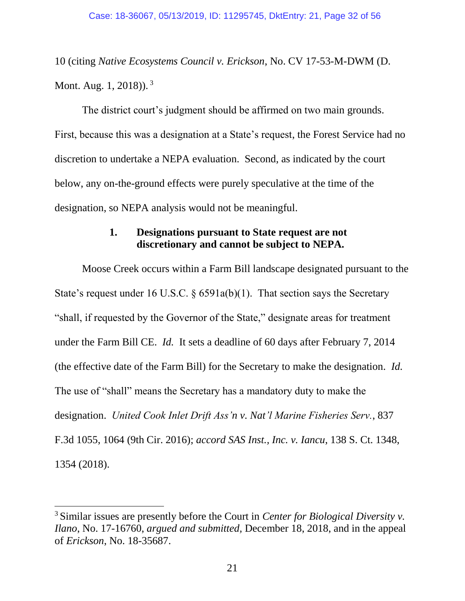<span id="page-31-2"></span>10 (citing *Native Ecosystems Council v. Erickson*, No. CV 17-53-M-DWM (D. Mont. Aug. 1, 2018)).<sup>3</sup>

The district court's judgment should be affirmed on two main grounds. First, because this was a designation at a State's request, the Forest Service had no discretion to undertake a NEPA evaluation. Second, as indicated by the court below, any on-the-ground effects were purely speculative at the time of the designation, so NEPA analysis would not be meaningful.

## <span id="page-31-0"></span>**1. Designations pursuant to State request are not discretionary and cannot be subject to NEPA.**

Moose Creek occurs within a Farm Bill landscape designated pursuant to the State's request under 16 U.S.C. § 6591a(b)(1). That section says the Secretary "shall, if requested by the Governor of the State," designate areas for treatment under the Farm Bill CE. *Id.* It sets a deadline of 60 days after February 7, 2014 (the effective date of the Farm Bill) for the Secretary to make the designation. *Id.* The use of "shall" means the Secretary has a mandatory duty to make the designation. *United Cook Inlet Drift Ass'n v. Nat'l Marine Fisheries Serv.*, 837 F.3d 1055, 1064 (9th Cir. 2016); *accord SAS Inst., Inc. v. Iancu*, 138 S. Ct. 1348, 1354 (2018).

<span id="page-31-4"></span><span id="page-31-3"></span><span id="page-31-1"></span> $\overline{a}$ 

<sup>3</sup> Similar issues are presently before the Court in *Center for Biological Diversity v. Ilano*, No. 17-16760, *argued and submitted,* December 18, 2018, and in the appeal of *Erickson*, No. 18-35687.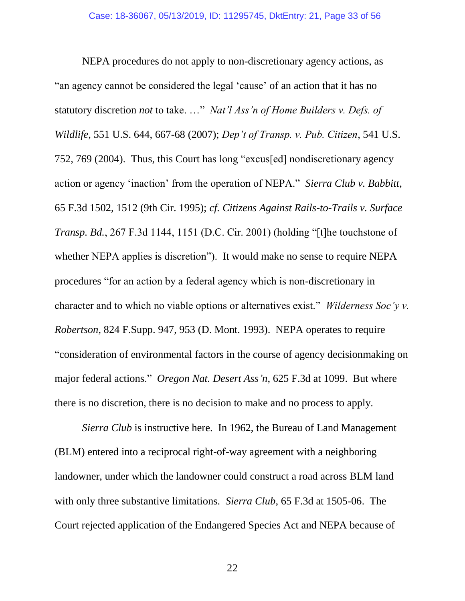<span id="page-32-4"></span><span id="page-32-2"></span><span id="page-32-1"></span><span id="page-32-0"></span>NEPA procedures do not apply to non-discretionary agency actions, as "an agency cannot be considered the legal 'cause' of an action that it has no statutory discretion *not* to take. …" *Nat'l Ass'n of Home Builders v. Defs. of Wildlife*, 551 U.S. 644, 667-68 (2007); *Dep't of Transp. v. Pub. Citizen*, 541 U.S. 752, 769 (2004). Thus, this Court has long "excus[ed] nondiscretionary agency action or agency 'inaction' from the operation of NEPA." *Sierra Club v. Babbitt*, 65 F.3d 1502, 1512 (9th Cir. 1995); *cf. Citizens Against Rails-to-Trails v. Surface Transp. Bd.*, 267 F.3d 1144, 1151 (D.C. Cir. 2001) (holding "[t]he touchstone of whether NEPA applies is discretion"). It would make no sense to require NEPA procedures "for an action by a federal agency which is non-discretionary in character and to which no viable options or alternatives exist." *Wilderness Soc'y v. Robertson*, 824 F.Supp. 947, 953 (D. Mont. 1993). NEPA operates to require "consideration of environmental factors in the course of agency decisionmaking on major federal actions." *Oregon Nat. Desert Ass'n*, 625 F.3d at 1099. But where there is no discretion, there is no decision to make and no process to apply.

<span id="page-32-5"></span><span id="page-32-3"></span>*Sierra Club* is instructive here. In 1962, the Bureau of Land Management (BLM) entered into a reciprocal right-of-way agreement with a neighboring landowner, under which the landowner could construct a road across BLM land with only three substantive limitations. *Sierra Club*, 65 F.3d at 1505-06. The Court rejected application of the Endangered Species Act and NEPA because of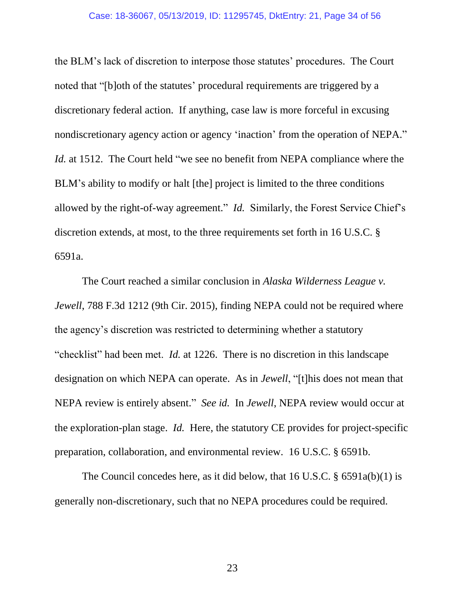#### Case: 18-36067, 05/13/2019, ID: 11295745, DktEntry: 21, Page 34 of 56

<span id="page-33-2"></span>the BLM's lack of discretion to interpose those statutes' procedures. The Court noted that "[b]oth of the statutes' procedural requirements are triggered by a discretionary federal action. If anything, case law is more forceful in excusing nondiscretionary agency action or agency 'inaction' from the operation of NEPA." *Id.* at 1512. The Court held "we see no benefit from NEPA compliance where the BLM's ability to modify or halt [the] project is limited to the three conditions allowed by the right-of-way agreement." *Id.* Similarly, the Forest Service Chief's discretion extends, at most, to the three requirements set forth in 16 U.S.C. § 6591a.

<span id="page-33-3"></span><span id="page-33-1"></span><span id="page-33-0"></span>The Court reached a similar conclusion in *Alaska Wilderness League v. Jewell*, 788 F.3d 1212 (9th Cir. 2015), finding NEPA could not be required where the agency's discretion was restricted to determining whether a statutory "checklist" had been met. *Id.* at 1226. There is no discretion in this landscape designation on which NEPA can operate. As in *Jewell*, "[t]his does not mean that NEPA review is entirely absent." *See id.* In *Jewell*, NEPA review would occur at the exploration-plan stage. *Id.* Here, the statutory CE provides for project-specific preparation, collaboration, and environmental review. 16 U.S.C. § 6591b.

The Council concedes here, as it did below, that 16 U.S.C. § 6591a(b)(1) is generally non-discretionary, such that no NEPA procedures could be required.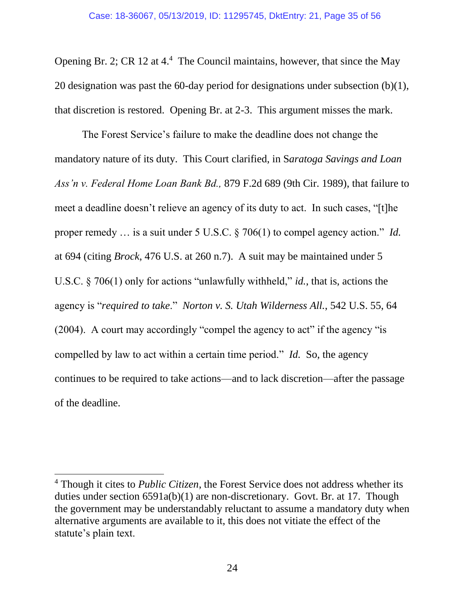Opening Br. 2; CR 12 at 4.<sup>4</sup> The Council maintains, however, that since the May 20 designation was past the 60-day period for designations under subsection (b)(1), that discretion is restored. Opening Br. at 2-3. This argument misses the mark.

<span id="page-34-2"></span><span id="page-34-1"></span><span id="page-34-0"></span>The Forest Service's failure to make the deadline does not change the mandatory nature of its duty. This Court clarified, in S*aratoga Savings and Loan Ass'n v. Federal Home Loan Bank Bd.,* 879 F.2d 689 (9th Cir. 1989), that failure to meet a deadline doesn't relieve an agency of its duty to act. In such cases, "[t]he proper remedy … is a suit under 5 U.S.C. § 706(1) to compel agency action." *Id.*  at 694 (citing *Brock*, 476 U.S. at 260 n.7). A suit may be maintained under 5 U.S.C. § 706(1) only for actions "unlawfully withheld," *id.*, that is, actions the agency is "*required to take*." *Norton v. S. Utah Wilderness All.*, 542 U.S. 55, 64 (2004). A court may accordingly "compel the agency to act" if the agency "is compelled by law to act within a certain time period." *Id.* So, the agency continues to be required to take actions—and to lack discretion—after the passage of the deadline.

 $\overline{a}$ 

<sup>4</sup> Though it cites to *Public Citizen*, the Forest Service does not address whether its duties under section 6591a(b)(1) are non-discretionary. Govt. Br. at 17. Though the government may be understandably reluctant to assume a mandatory duty when alternative arguments are available to it, this does not vitiate the effect of the statute's plain text.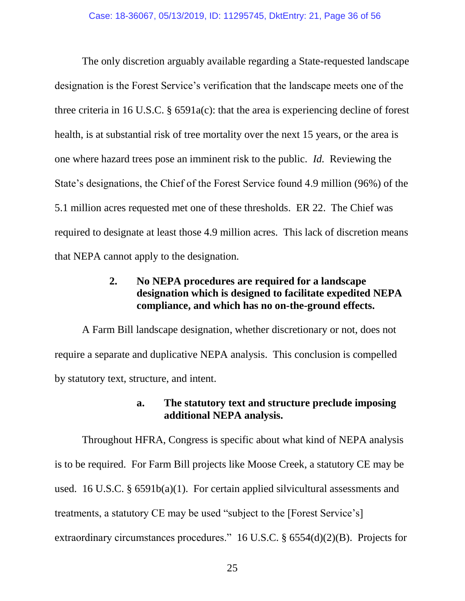<span id="page-35-3"></span>The only discretion arguably available regarding a State-requested landscape designation is the Forest Service's verification that the landscape meets one of the three criteria in 16 U.S.C. § 6591a(c): that the area is experiencing decline of forest health, is at substantial risk of tree mortality over the next 15 years, or the area is one where hazard trees pose an imminent risk to the public. *Id.* Reviewing the State's designations, the Chief of the Forest Service found 4.9 million (96%) of the 5.1 million acres requested met one of these thresholds. ER 22. The Chief was required to designate at least those 4.9 million acres. This lack of discretion means that NEPA cannot apply to the designation.

## **2. No NEPA procedures are required for a landscape designation which is designed to facilitate expedited NEPA compliance, and which has no on-the-ground effects.**

<span id="page-35-0"></span>A Farm Bill landscape designation, whether discretionary or not, does not require a separate and duplicative NEPA analysis. This conclusion is compelled by statutory text, structure, and intent.

## <span id="page-35-2"></span>**a. The statutory text and structure preclude imposing additional NEPA analysis.**

<span id="page-35-4"></span><span id="page-35-1"></span>Throughout HFRA, Congress is specific about what kind of NEPA analysis is to be required. For Farm Bill projects like Moose Creek, a statutory CE may be used. 16 U.S.C. § 6591b(a)(1). For certain applied silvicultural assessments and treatments, a statutory CE may be used "subject to the [Forest Service's] extraordinary circumstances procedures." 16 U.S.C. § 6554(d)(2)(B). Projects for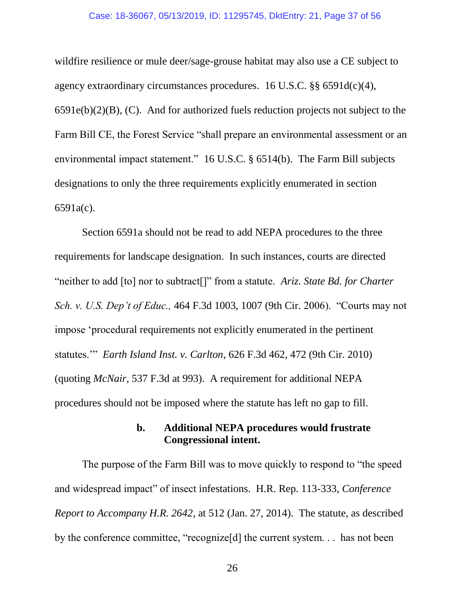#### <span id="page-36-7"></span>Case: 18-36067, 05/13/2019, ID: 11295745, DktEntry: 21, Page 37 of 56

wildfire resilience or mule deer/sage-grouse habitat may also use a CE subject to agency extraordinary circumstances procedures. 16 U.S.C. §§ 6591d(c)(4),  $6591e(b)(2)(B)$ , (C). And for authorized fuels reduction projects not subject to the Farm Bill CE, the Forest Service "shall prepare an environmental assessment or an environmental impact statement." 16 U.S.C. § 6514(b). The Farm Bill subjects designations to only the three requirements explicitly enumerated in section 6591a(c).

<span id="page-36-6"></span><span id="page-36-5"></span><span id="page-36-4"></span>Section 6591a should not be read to add NEPA procedures to the three requirements for landscape designation. In such instances, courts are directed "neither to add [to] nor to subtract[]" from a statute. *Ariz. State Bd. for Charter Sch. v. U.S. Dep't of Educ.,* 464 F.3d 1003, 1007 (9th Cir. 2006). "Courts may not impose 'procedural requirements not explicitly enumerated in the pertinent statutes.'" *Earth Island Inst. v. Carlton*, 626 F.3d 462, 472 (9th Cir. 2010) (quoting *McNair*, 537 F.3d at 993). A requirement for additional NEPA procedures should not be imposed where the statute has left no gap to fill.

### <span id="page-36-3"></span><span id="page-36-2"></span><span id="page-36-1"></span>**b. Additional NEPA procedures would frustrate Congressional intent.**

<span id="page-36-0"></span>The purpose of the Farm Bill was to move quickly to respond to "the speed and widespread impact" of insect infestations. H.R. Rep. 113-333, *Conference Report to Accompany H.R. 2642*, at 512 (Jan. 27, 2014). The statute, as described by the conference committee, "recognize[d] the current system. . . has not been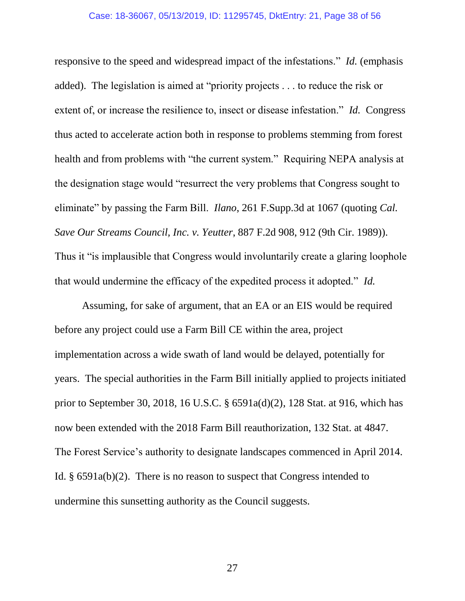responsive to the speed and widespread impact of the infestations." *Id.* (emphasis added). The legislation is aimed at "priority projects . . . to reduce the risk or extent of, or increase the resilience to, insect or disease infestation." *Id.* Congress thus acted to accelerate action both in response to problems stemming from forest health and from problems with "the current system." Requiring NEPA analysis at the designation stage would "resurrect the very problems that Congress sought to eliminate" by passing the Farm Bill. *Ilano*, 261 F.Supp.3d at 1067 (quoting *Cal. Save Our Streams Council, Inc. v. Yeutter*, 887 F.2d 908, 912 (9th Cir. 1989)). Thus it "is implausible that Congress would involuntarily create a glaring loophole that would undermine the efficacy of the expedited process it adopted." *Id.*

<span id="page-37-3"></span><span id="page-37-2"></span><span id="page-37-1"></span><span id="page-37-0"></span>Assuming, for sake of argument, that an EA or an EIS would be required before any project could use a Farm Bill CE within the area, project implementation across a wide swath of land would be delayed, potentially for years. The special authorities in the Farm Bill initially applied to projects initiated prior to September 30, 2018, 16 U.S.C. § 6591a(d)(2), 128 Stat. at 916, which has now been extended with the 2018 Farm Bill reauthorization, 132 Stat. at 4847. The Forest Service's authority to designate landscapes commenced in April 2014. Id. § 6591a(b)(2). There is no reason to suspect that Congress intended to undermine this sunsetting authority as the Council suggests.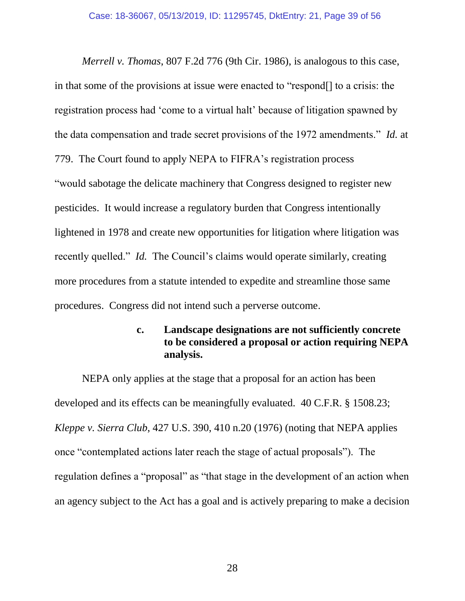<span id="page-38-2"></span>*Merrell v. Thomas*, 807 F.2d 776 (9th Cir. 1986), is analogous to this case, in that some of the provisions at issue were enacted to "respond[] to a crisis: the registration process had 'come to a virtual halt' because of litigation spawned by the data compensation and trade secret provisions of the 1972 amendments." *Id.* at 779. The Court found to apply NEPA to FIFRA's registration process "would sabotage the delicate machinery that Congress designed to register new pesticides. It would increase a regulatory burden that Congress intentionally lightened in 1978 and create new opportunities for litigation where litigation was recently quelled." *Id.* The Council's claims would operate similarly, creating more procedures from a statute intended to expedite and streamline those same procedures. Congress did not intend such a perverse outcome.

### <span id="page-38-3"></span><span id="page-38-0"></span>**c. Landscape designations are not sufficiently concrete to be considered a proposal or action requiring NEPA analysis.**

<span id="page-38-1"></span>NEPA only applies at the stage that a proposal for an action has been developed and its effects can be meaningfully evaluated. 40 C.F.R. § 1508.23; *Kleppe v. Sierra Club*, 427 U.S. 390, 410 n.20 (1976) (noting that NEPA applies once "contemplated actions later reach the stage of actual proposals"). The regulation defines a "proposal" as "that stage in the development of an action when an agency subject to the Act has a goal and is actively preparing to make a decision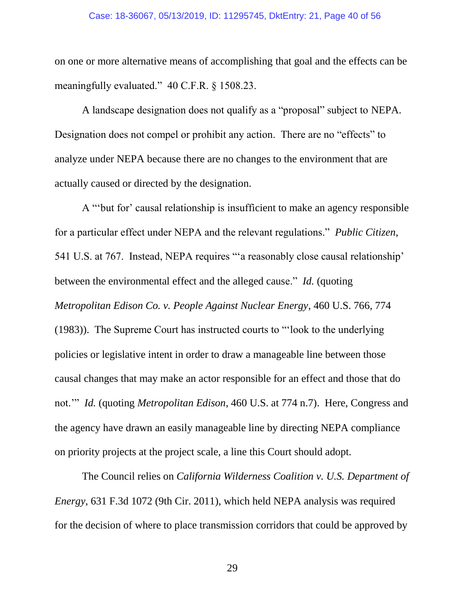#### <span id="page-39-3"></span>Case: 18-36067, 05/13/2019, ID: 11295745, DktEntry: 21, Page 40 of 56

on one or more alternative means of accomplishing that goal and the effects can be meaningfully evaluated." 40 C.F.R. § 1508.23.

A landscape designation does not qualify as a "proposal" subject to NEPA. Designation does not compel or prohibit any action. There are no "effects" to analyze under NEPA because there are no changes to the environment that are actually caused or directed by the designation.

<span id="page-39-2"></span><span id="page-39-1"></span>A "'but for' causal relationship is insufficient to make an agency responsible for a particular effect under NEPA and the relevant regulations." *Public Citizen*, 541 U.S. at 767. Instead, NEPA requires "'a reasonably close causal relationship' between the environmental effect and the alleged cause." *Id.* (quoting *Metropolitan Edison Co. v. People Against Nuclear Energy*, 460 U.S. 766, 774 (1983)). The Supreme Court has instructed courts to "'look to the underlying policies or legislative intent in order to draw a manageable line between those causal changes that may make an actor responsible for an effect and those that do not.'" *Id.* (quoting *Metropolitan Edison*, 460 U.S. at 774 n.7). Here, Congress and the agency have drawn an easily manageable line by directing NEPA compliance on priority projects at the project scale, a line this Court should adopt.

<span id="page-39-0"></span>The Council relies on *California Wilderness Coalition v. U.S. Department of Energy*, 631 F.3d 1072 (9th Cir. 2011), which held NEPA analysis was required for the decision of where to place transmission corridors that could be approved by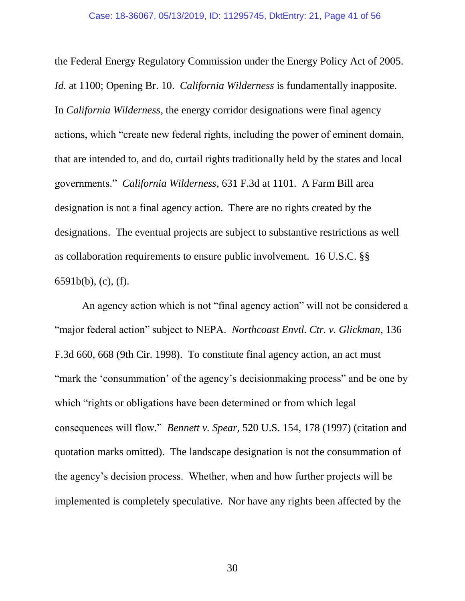<span id="page-40-1"></span>the Federal Energy Regulatory Commission under the Energy Policy Act of 2005. *Id.* at 1100; Opening Br. 10. *California Wilderness* is fundamentally inapposite. In *California Wilderness*, the energy corridor designations were final agency actions, which "create new federal rights, including the power of eminent domain, that are intended to, and do, curtail rights traditionally held by the states and local governments." *California Wilderness*, 631 F.3d at 1101. A Farm Bill area designation is not a final agency action. There are no rights created by the designations. The eventual projects are subject to substantive restrictions as well as collaboration requirements to ensure public involvement. 16 U.S.C. §§ 6591b(b), (c), (f).

<span id="page-40-3"></span><span id="page-40-2"></span><span id="page-40-0"></span>An agency action which is not "final agency action" will not be considered a "major federal action" subject to NEPA. *Northcoast Envtl. Ctr. v. Glickman*, 136 F.3d 660, 668 (9th Cir. 1998). To constitute final agency action, an act must "mark the 'consummation' of the agency's decision making process" and be one by which "rights or obligations have been determined or from which legal consequences will flow." *Bennett v. Spear*, 520 U.S. 154, 178 (1997) (citation and quotation marks omitted). The landscape designation is not the consummation of the agency's decision process. Whether, when and how further projects will be implemented is completely speculative. Nor have any rights been affected by the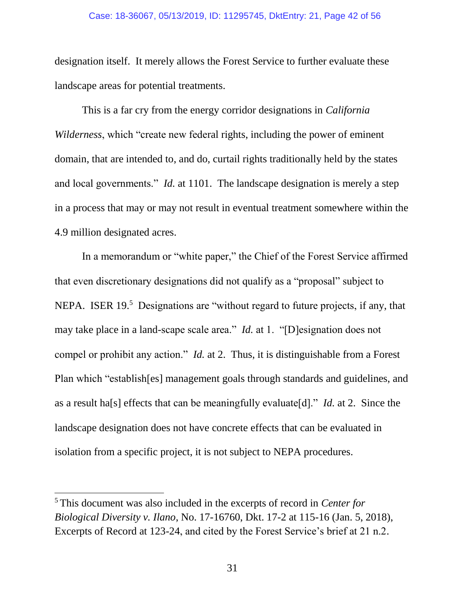#### <span id="page-41-1"></span>Case: 18-36067, 05/13/2019, ID: 11295745, DktEntry: 21, Page 42 of 56

designation itself. It merely allows the Forest Service to further evaluate these landscape areas for potential treatments.

This is a far cry from the energy corridor designations in *California Wilderness*, which "create new federal rights, including the power of eminent domain, that are intended to, and do, curtail rights traditionally held by the states and local governments." *Id.* at 1101. The landscape designation is merely a step in a process that may or may not result in eventual treatment somewhere within the 4.9 million designated acres.

In a memorandum or "white paper," the Chief of the Forest Service affirmed that even discretionary designations did not qualify as a "proposal" subject to NEPA. ISER 19.<sup>5</sup> Designations are "without regard to future projects, if any, that may take place in a land-scape scale area." *Id.* at 1. "[D]esignation does not compel or prohibit any action." *Id.* at 2. Thus, it is distinguishable from a Forest Plan which "establish[es] management goals through standards and guidelines, and as a result ha[s] effects that can be meaningfully evaluate[d]." *Id.* at 2. Since the landscape designation does not have concrete effects that can be evaluated in isolation from a specific project, it is not subject to NEPA procedures.

<span id="page-41-2"></span><span id="page-41-0"></span> $\overline{a}$ 

<sup>5</sup> This document was also included in the excerpts of record in *Center for Biological Diversity v. Ilano*, No. 17-16760, Dkt. 17-2 at 115-16 (Jan. 5, 2018), Excerpts of Record at 123-24, and cited by the Forest Service's brief at 21 n.2.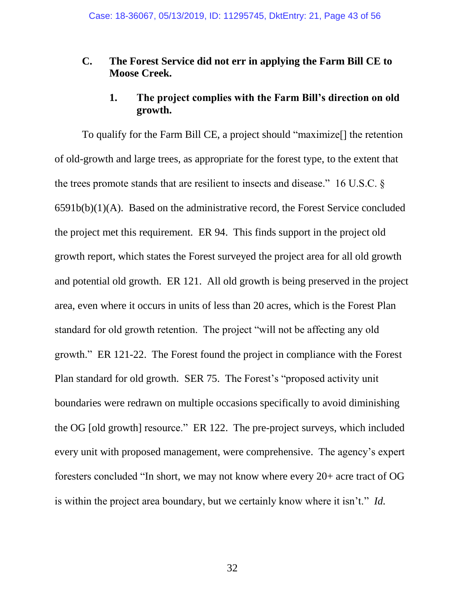## **C. The Forest Service did not err in applying the Farm Bill CE to Moose Creek.**

## <span id="page-42-1"></span>**1. The project complies with the Farm Bill's direction on old growth.**

<span id="page-42-0"></span>To qualify for the Farm Bill CE, a project should "maximize[] the retention of old-growth and large trees, as appropriate for the forest type, to the extent that the trees promote stands that are resilient to insects and disease." 16 U.S.C. § 6591b(b)(1)(A). Based on the administrative record, the Forest Service concluded the project met this requirement. ER 94. This finds support in the project old growth report, which states the Forest surveyed the project area for all old growth and potential old growth. ER 121. All old growth is being preserved in the project area, even where it occurs in units of less than 20 acres, which is the Forest Plan standard for old growth retention. The project "will not be affecting any old growth." ER 121-22. The Forest found the project in compliance with the Forest Plan standard for old growth. SER 75. The Forest's "proposed activity unit boundaries were redrawn on multiple occasions specifically to avoid diminishing the OG [old growth] resource." ER 122. The pre-project surveys, which included every unit with proposed management, were comprehensive. The agency's expert foresters concluded "In short, we may not know where every 20+ acre tract of OG is within the project area boundary, but we certainly know where it isn't." *Id.*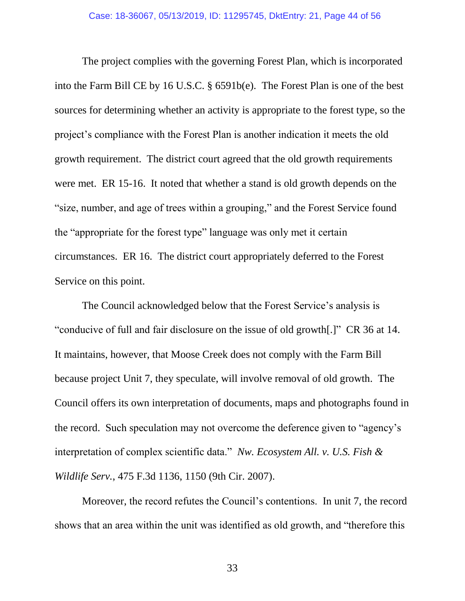<span id="page-43-1"></span>The project complies with the governing Forest Plan, which is incorporated into the Farm Bill CE by 16 U.S.C. § 6591b(e). The Forest Plan is one of the best sources for determining whether an activity is appropriate to the forest type, so the project's compliance with the Forest Plan is another indication it meets the old growth requirement. The district court agreed that the old growth requirements were met. ER 15-16. It noted that whether a stand is old growth depends on the "size, number, and age of trees within a grouping," and the Forest Service found the "appropriate for the forest type" language was only met it certain circumstances. ER 16. The district court appropriately deferred to the Forest Service on this point.

The Council acknowledged below that the Forest Service's analysis is "conducive of full and fair disclosure on the issue of old growth[.]" CR 36 at 14. It maintains, however, that Moose Creek does not comply with the Farm Bill because project Unit 7, they speculate, will involve removal of old growth. The Council offers its own interpretation of documents, maps and photographs found in the record. Such speculation may not overcome the deference given to "agency's interpretation of complex scientific data." *Nw. Ecosystem All. v. U.S. Fish & Wildlife Serv.*, 475 F.3d 1136, 1150 (9th Cir. 2007).

<span id="page-43-0"></span>Moreover, the record refutes the Council's contentions. In unit 7, the record shows that an area within the unit was identified as old growth, and "therefore this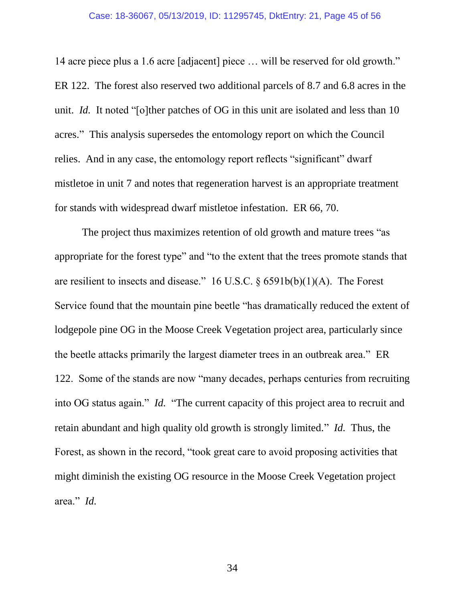14 acre piece plus a 1.6 acre [adjacent] piece … will be reserved for old growth." ER 122. The forest also reserved two additional parcels of 8.7 and 6.8 acres in the unit. *Id.* It noted "[o]ther patches of OG in this unit are isolated and less than 10 acres." This analysis supersedes the entomology report on which the Council relies. And in any case, the entomology report reflects "significant" dwarf mistletoe in unit 7 and notes that regeneration harvest is an appropriate treatment for stands with widespread dwarf mistletoe infestation. ER 66, 70.

<span id="page-44-0"></span>The project thus maximizes retention of old growth and mature trees "as appropriate for the forest type" and "to the extent that the trees promote stands that are resilient to insects and disease." 16 U.S.C. § 6591b(b)(1)(A). The Forest Service found that the mountain pine beetle "has dramatically reduced the extent of lodgepole pine OG in the Moose Creek Vegetation project area, particularly since the beetle attacks primarily the largest diameter trees in an outbreak area." ER 122. Some of the stands are now "many decades, perhaps centuries from recruiting into OG status again." *Id.* "The current capacity of this project area to recruit and retain abundant and high quality old growth is strongly limited." *Id.* Thus, the Forest, as shown in the record, "took great care to avoid proposing activities that might diminish the existing OG resource in the Moose Creek Vegetation project area." *Id.*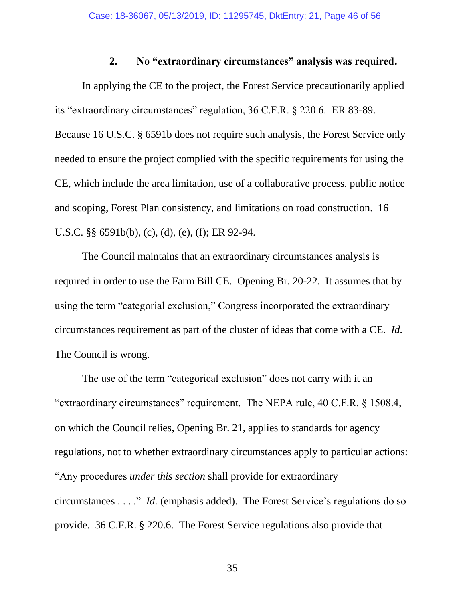### <span id="page-45-2"></span><span id="page-45-1"></span>**2. No "extraordinary circumstances" analysis was required.**

<span id="page-45-0"></span>In applying the CE to the project, the Forest Service precautionarily applied its "extraordinary circumstances" regulation, 36 C.F.R. § 220.6. ER 83-89. Because 16 U.S.C. § 6591b does not require such analysis, the Forest Service only needed to ensure the project complied with the specific requirements for using the CE, which include the area limitation, use of a collaborative process, public notice and scoping, Forest Plan consistency, and limitations on road construction. 16 U.S.C. §§ 6591b(b), (c), (d), (e), (f); ER 92-94.

The Council maintains that an extraordinary circumstances analysis is required in order to use the Farm Bill CE. Opening Br. 20-22. It assumes that by using the term "categorial exclusion," Congress incorporated the extraordinary circumstances requirement as part of the cluster of ideas that come with a CE. *Id.* The Council is wrong.

<span id="page-45-3"></span>The use of the term "categorical exclusion" does not carry with it an "extraordinary circumstances" requirement. The NEPA rule, 40 C.F.R. § 1508.4, on which the Council relies, Opening Br. 21, applies to standards for agency regulations, not to whether extraordinary circumstances apply to particular actions: "Any procedures *under this section* shall provide for extraordinary circumstances . . . ." *Id.* (emphasis added). The Forest Service's regulations do so provide. 36 C.F.R. § 220.6. The Forest Service regulations also provide that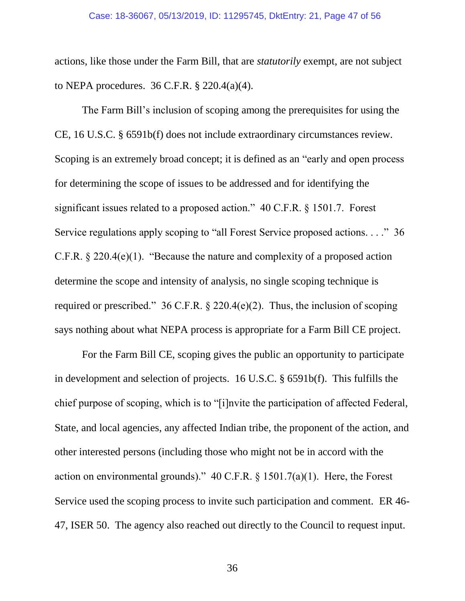<span id="page-46-1"></span>actions, like those under the Farm Bill, that are *statutorily* exempt, are not subject to NEPA procedures. 36 C.F.R. § 220.4(a)(4).

<span id="page-46-4"></span><span id="page-46-2"></span><span id="page-46-0"></span>The Farm Bill's inclusion of scoping among the prerequisites for using the CE, 16 U.S.C. § 6591b(f) does not include extraordinary circumstances review. Scoping is an extremely broad concept; it is defined as an "early and open process for determining the scope of issues to be addressed and for identifying the significant issues related to a proposed action." 40 C.F.R. § 1501.7. Forest Service regulations apply scoping to "all Forest Service proposed actions. . . ." 36 C.F.R. § 220.4(e)(1). "Because the nature and complexity of a proposed action determine the scope and intensity of analysis, no single scoping technique is required or prescribed." 36 C.F.R.  $\S$  220.4(e)(2). Thus, the inclusion of scoping says nothing about what NEPA process is appropriate for a Farm Bill CE project.

<span id="page-46-5"></span><span id="page-46-3"></span>For the Farm Bill CE, scoping gives the public an opportunity to participate in development and selection of projects. 16 U.S.C. § 6591b(f). This fulfills the chief purpose of scoping, which is to "[i]nvite the participation of affected Federal, State, and local agencies, any affected Indian tribe, the proponent of the action, and other interested persons (including those who might not be in accord with the action on environmental grounds)."  $40 \text{ C.F.R.}$  §  $1501.7(a)(1)$ . Here, the Forest Service used the scoping process to invite such participation and comment. ER 46- 47, ISER 50. The agency also reached out directly to the Council to request input.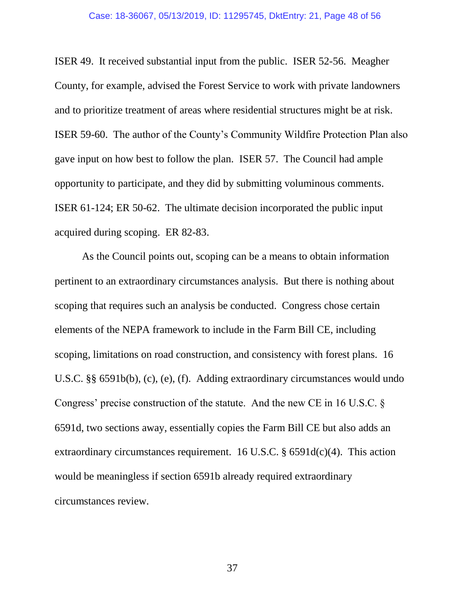#### Case: 18-36067, 05/13/2019, ID: 11295745, DktEntry: 21, Page 48 of 56

ISER 49. It received substantial input from the public. ISER 52-56. Meagher County, for example, advised the Forest Service to work with private landowners and to prioritize treatment of areas where residential structures might be at risk. ISER 59-60. The author of the County's Community Wildfire Protection Plan also gave input on how best to follow the plan. ISER 57. The Council had ample opportunity to participate, and they did by submitting voluminous comments. ISER 61-124; ER 50-62. The ultimate decision incorporated the public input acquired during scoping. ER 82-83.

<span id="page-47-2"></span><span id="page-47-1"></span><span id="page-47-0"></span>As the Council points out, scoping can be a means to obtain information pertinent to an extraordinary circumstances analysis. But there is nothing about scoping that requires such an analysis be conducted. Congress chose certain elements of the NEPA framework to include in the Farm Bill CE, including scoping, limitations on road construction, and consistency with forest plans. 16 U.S.C. §§ 6591b(b), (c), (e), (f). Adding extraordinary circumstances would undo Congress' precise construction of the statute. And the new CE in 16 U.S.C. § 6591d, two sections away, essentially copies the Farm Bill CE but also adds an extraordinary circumstances requirement. 16 U.S.C.  $\S$  6591d(c)(4). This action would be meaningless if section 6591b already required extraordinary circumstances review.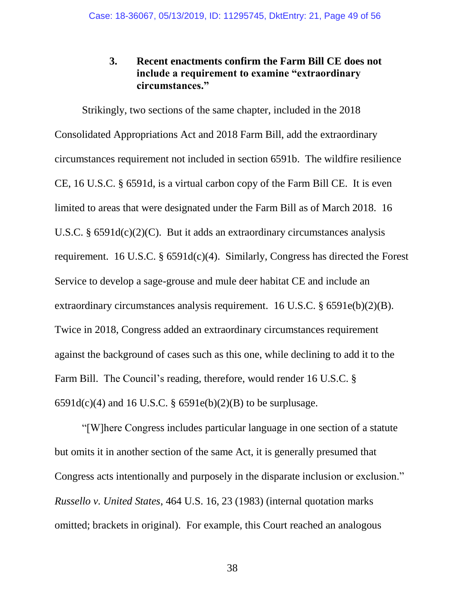## <span id="page-48-3"></span><span id="page-48-0"></span>**3. Recent enactments confirm the Farm Bill CE does not include a requirement to examine "extraordinary circumstances."**

<span id="page-48-4"></span><span id="page-48-2"></span>Strikingly, two sections of the same chapter, included in the 2018 Consolidated Appropriations Act and 2018 Farm Bill, add the extraordinary circumstances requirement not included in section 6591b. The wildfire resilience CE, 16 U.S.C. § 6591d, is a virtual carbon copy of the Farm Bill CE. It is even limited to areas that were designated under the Farm Bill as of March 2018. 16 U.S.C. §  $6591d(c)(2)(C)$ . But it adds an extraordinary circumstances analysis requirement. 16 U.S.C.  $\S 6591d(c)(4)$ . Similarly, Congress has directed the Forest Service to develop a sage-grouse and mule deer habitat CE and include an extraordinary circumstances analysis requirement. 16 U.S.C. § 6591e(b)(2)(B). Twice in 2018, Congress added an extraordinary circumstances requirement against the background of cases such as this one, while declining to add it to the Farm Bill. The Council's reading, therefore, would render 16 U.S.C. §  $6591d(c)(4)$  and  $16$  U.S.C. §  $6591e(b)(2)(B)$  to be surplusage.

<span id="page-48-5"></span><span id="page-48-1"></span>"[W]here Congress includes particular language in one section of a statute but omits it in another section of the same Act, it is generally presumed that Congress acts intentionally and purposely in the disparate inclusion or exclusion." *Russello v. United States*, 464 U.S. 16, 23 (1983) (internal quotation marks omitted; brackets in original). For example, this Court reached an analogous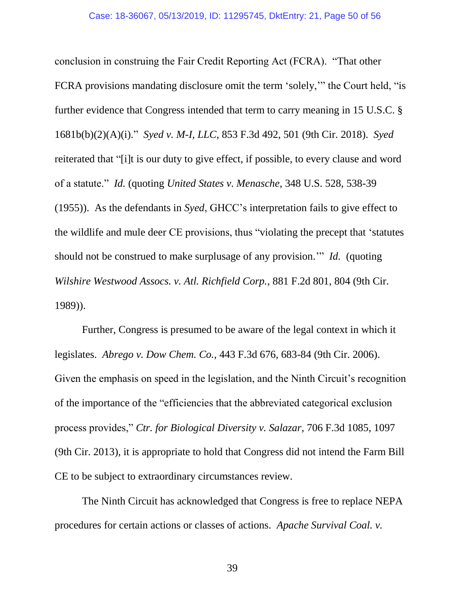<span id="page-49-6"></span><span id="page-49-4"></span><span id="page-49-3"></span>conclusion in construing the Fair Credit Reporting Act (FCRA). "That other FCRA provisions mandating disclosure omit the term 'solely,'" the Court held, "is further evidence that Congress intended that term to carry meaning in 15 U.S.C. § 1681b(b)(2)(A)(i)." *Syed v. M-I, LLC*, 853 F.3d 492, 501 (9th Cir. 2018). *Syed*  reiterated that "[i]t is our duty to give effect, if possible, to every clause and word of a statute." *Id.* (quoting *United States v. Menasche*, 348 U.S. 528, 538-39 (1955)). As the defendants in *Syed*, GHCC's interpretation fails to give effect to the wildlife and mule deer CE provisions, thus "violating the precept that 'statutes should not be construed to make surplusage of any provision.'" *Id.* (quoting *Wilshire Westwood Assocs. v. Atl. Richfield Corp.*, 881 F.2d 801, 804 (9th Cir. 1989)).

<span id="page-49-5"></span><span id="page-49-0"></span>Further, Congress is presumed to be aware of the legal context in which it legislates. *Abrego v. Dow Chem. Co.*, 443 F.3d 676, 683-84 (9th Cir. 2006). Given the emphasis on speed in the legislation, and the Ninth Circuit's recognition of the importance of the "efficiencies that the abbreviated categorical exclusion process provides," *Ctr. for Biological Diversity v. Salazar*, 706 F.3d 1085, 1097 (9th Cir. 2013), it is appropriate to hold that Congress did not intend the Farm Bill CE to be subject to extraordinary circumstances review.

<span id="page-49-2"></span><span id="page-49-1"></span>The Ninth Circuit has acknowledged that Congress is free to replace NEPA procedures for certain actions or classes of actions. *Apache Survival Coal. v.*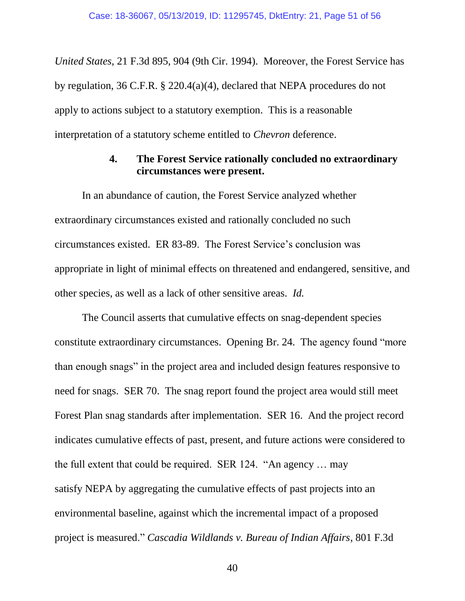<span id="page-50-2"></span>*United States*, 21 F.3d 895, 904 (9th Cir. 1994). Moreover, the Forest Service has by regulation, 36 C.F.R. § 220.4(a)(4), declared that NEPA procedures do not apply to actions subject to a statutory exemption. This is a reasonable interpretation of a statutory scheme entitled to *Chevron* deference.

### **4. The Forest Service rationally concluded no extraordinary circumstances were present.**

<span id="page-50-0"></span>In an abundance of caution, the Forest Service analyzed whether extraordinary circumstances existed and rationally concluded no such circumstances existed. ER 83-89. The Forest Service's conclusion was appropriate in light of minimal effects on threatened and endangered, sensitive, and other species, as well as a lack of other sensitive areas. *Id.*

<span id="page-50-1"></span>The Council asserts that cumulative effects on snag-dependent species constitute extraordinary circumstances. Opening Br. 24. The agency found "more than enough snags" in the project area and included design features responsive to need for snags. SER 70. The snag report found the project area would still meet Forest Plan snag standards after implementation. SER 16. And the project record indicates cumulative effects of past, present, and future actions were considered to the full extent that could be required. SER 124. "An agency … may satisfy NEPA by aggregating the cumulative effects of past projects into an environmental baseline, against which the incremental impact of a proposed project is measured." *Cascadia Wildlands v. Bureau of Indian Affairs*, 801 F.3d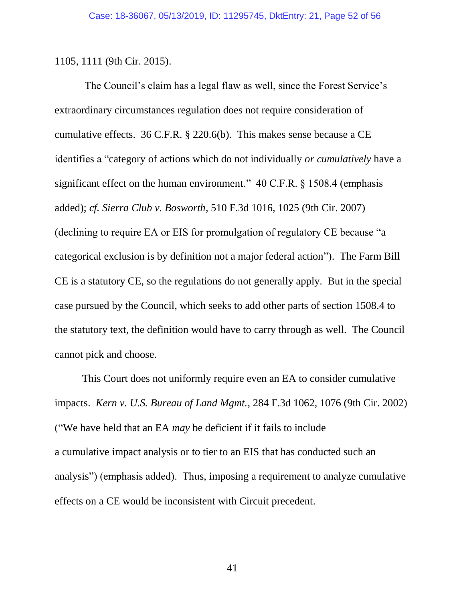1105, 1111 (9th Cir. 2015).

<span id="page-51-3"></span><span id="page-51-2"></span><span id="page-51-1"></span>The Council's claim has a legal flaw as well, since the Forest Service's extraordinary circumstances regulation does not require consideration of cumulative effects. 36 C.F.R. § 220.6(b). This makes sense because a CE identifies a "category of actions which do not individually *or cumulatively* have a significant effect on the human environment." 40 C.F.R. § 1508.4 (emphasis added); *cf. Sierra Club v. Bosworth*, 510 F.3d 1016, 1025 (9th Cir. 2007) (declining to require EA or EIS for promulgation of regulatory CE because "a categorical exclusion is by definition not a major federal action"). The Farm Bill CE is a statutory CE, so the regulations do not generally apply. But in the special case pursued by the Council, which seeks to add other parts of section 1508.4 to the statutory text, the definition would have to carry through as well. The Council cannot pick and choose.

<span id="page-51-0"></span>This Court does not uniformly require even an EA to consider cumulative impacts. *Kern v. U.S. Bureau of Land Mgmt.*, 284 F.3d 1062, 1076 (9th Cir. 2002) ("We have held that an EA *may* be deficient if it fails to include a cumulative impact analysis or to tier to an EIS that has conducted such an analysis") (emphasis added). Thus, imposing a requirement to analyze cumulative effects on a CE would be inconsistent with Circuit precedent.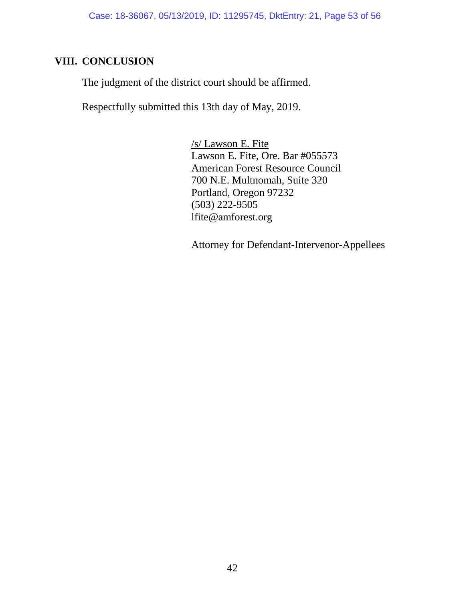## <span id="page-52-0"></span>**VIII. CONCLUSION**

The judgment of the district court should be affirmed.

Respectfully submitted this 13th day of May, 2019.

/s/ Lawson E. Fite Lawson E. Fite, Ore. Bar #055573 American Forest Resource Council 700 N.E. Multnomah, Suite 320 Portland, Oregon 97232 (503) 222-9505 lfite@amforest.org

Attorney for Defendant-Intervenor-Appellees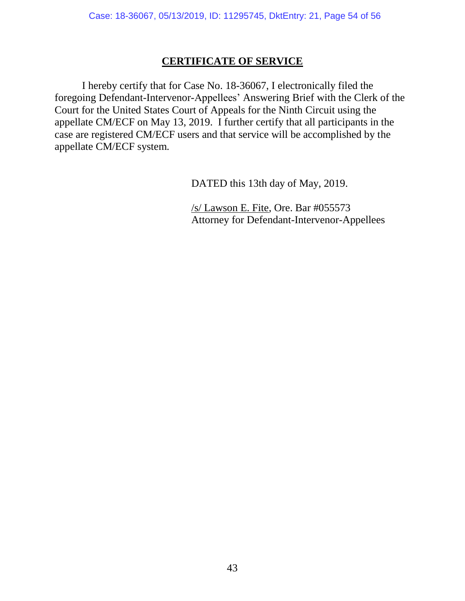## **CERTIFICATE OF SERVICE**

I hereby certify that for Case No. 18-36067, I electronically filed the foregoing Defendant-Intervenor-Appellees' Answering Brief with the Clerk of the Court for the United States Court of Appeals for the Ninth Circuit using the appellate CM/ECF on May 13, 2019. I further certify that all participants in the case are registered CM/ECF users and that service will be accomplished by the appellate CM/ECF system.

DATED this 13th day of May, 2019.

/s/ Lawson E. Fite, Ore. Bar #055573 Attorney for Defendant-Intervenor-Appellees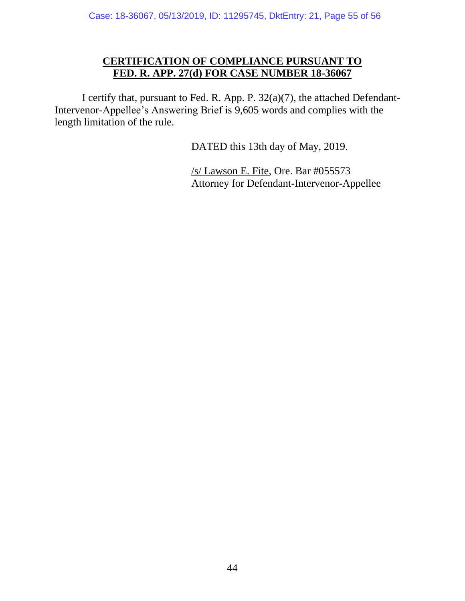## **CERTIFICATION OF COMPLIANCE PURSUANT TO FED. R. APP. 27(d) FOR CASE NUMBER 18-36067**

I certify that, pursuant to Fed. R. App. P. 32(a)(7), the attached Defendant-Intervenor-Appellee's Answering Brief is 9,605 words and complies with the length limitation of the rule.

DATED this 13th day of May, 2019.

/s/ Lawson E. Fite, Ore. Bar #055573 Attorney for Defendant-Intervenor-Appellee